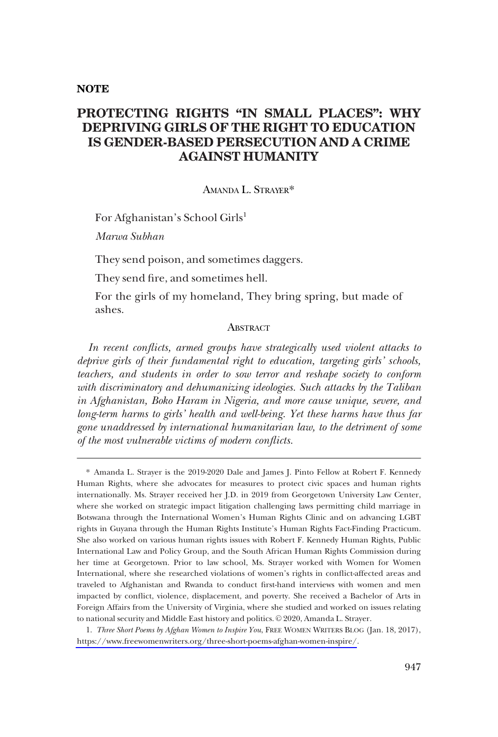### **NOTE**

# **PROTECTING RIGHTS "IN SMALL PLACES": WHY DEPRIVING GIRLS OF THE RIGHT TO EDUCATION IS GENDER-BASED PERSECUTION AND A CRIME AGAINST HUMANITY**

### AMANDA L. STRAYER\*

For Afghanistan's School Girls<sup>1</sup>

*Marwa Subhan* 

They send poison, and sometimes daggers.

They send fre, and sometimes hell.

For the girls of my homeland, They bring spring, but made of ashes.

### **ABSTRACT**

*In recent conficts, armed groups have strategically used violent attacks to deprive girls of their fundamental right to education, targeting girls' schools, teachers, and students in order to sow terror and reshape society to conform with discriminatory and dehumanizing ideologies. Such attacks by the Taliban in Afghanistan, Boko Haram in Nigeria, and more cause unique, severe, and long-term harms to girls' health and well-being. Yet these harms have thus far gone unaddressed by international humanitarian law, to the detriment of some of the most vulnerable victims of modern conficts.* 

\* Amanda L. Strayer is the 2019-2020 Dale and James J. Pinto Fellow at Robert F. Kennedy Human Rights, where she advocates for measures to protect civic spaces and human rights internationally. Ms. Strayer received her J.D. in 2019 from Georgetown University Law Center, where she worked on strategic impact litigation challenging laws permitting child marriage in Botswana through the International Women's Human Rights Clinic and on advancing LGBT rights in Guyana through the Human Rights Institute's Human Rights Fact-Finding Practicum. She also worked on various human rights issues with Robert F. Kennedy Human Rights, Public International Law and Policy Group, and the South African Human Rights Commission during her time at Georgetown. Prior to law school, Ms. Strayer worked with Women for Women International, where she researched violations of women's rights in confict-affected areas and traveled to Afghanistan and Rwanda to conduct frst-hand interviews with women and men impacted by confict, violence, displacement, and poverty. She received a Bachelor of Arts in Foreign Affairs from the University of Virginia, where she studied and worked on issues relating to national security and Middle East history and politics. © 2020, Amanda L. Strayer.

*Three Short Poems by Afghan Women to Inspire You*, FREE WOMEN WRITERS BLOG (Jan. 18, 2017), 1. <https://www.freewomenwriters.org/three-short-poems-afghan-women-inspire/>.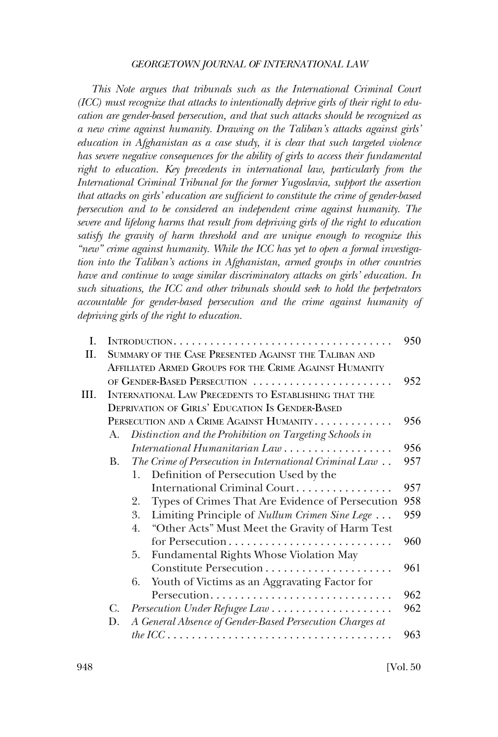*This Note argues that tribunals such as the International Criminal Court (ICC) must recognize that attacks to intentionally deprive girls of their right to education are gender-based persecution, and that such attacks should be recognized as a new crime against humanity. Drawing on the Taliban's attacks against girls' education in Afghanistan as a case study, it is clear that such targeted violence has severe negative consequences for the ability of girls to access their fundamental*  right to education. Key precedents in international law, particularly from the *International Criminal Tribunal for the former Yugoslavia, support the assertion that attacks on girls' education are suffcient to constitute the crime of gender-based persecution and to be considered an independent crime against humanity. The severe and lifelong harms that result from depriving girls of the right to education satisfy the gravity of harm threshold and are unique enough to recognize this "new" crime against humanity. While the ICC has yet to open a formal investigation into the Taliban's actions in Afghanistan, armed groups in other countries have and continue to wage similar discriminatory attacks on girls' education. In such situations, the ICC and other tribunals should seek to hold the perpetrators accountable for gender-based persecution and the crime against humanity of depriving girls of the right to education.* 

| I.  |                                                        | INTRODUCTION                                                                                                                                                   | 950 |  |  |  |  |  |  |  |  |  |
|-----|--------------------------------------------------------|----------------------------------------------------------------------------------------------------------------------------------------------------------------|-----|--|--|--|--|--|--|--|--|--|
| H.  |                                                        | SUMMARY OF THE CASE PRESENTED AGAINST THE TALIBAN AND                                                                                                          |     |  |  |  |  |  |  |  |  |  |
|     | AFFILIATED ARMED GROUPS FOR THE CRIME AGAINST HUMANITY |                                                                                                                                                                |     |  |  |  |  |  |  |  |  |  |
|     | OF GENDER-BASED PERSECUTION                            |                                                                                                                                                                |     |  |  |  |  |  |  |  |  |  |
| HI. |                                                        | INTERNATIONAL LAW PRECEDENTS TO ESTABLISHING THAT THE                                                                                                          |     |  |  |  |  |  |  |  |  |  |
|     |                                                        | <b>DEPRIVATION OF GIRLS' EDUCATION IS GENDER-BASED</b>                                                                                                         |     |  |  |  |  |  |  |  |  |  |
|     |                                                        | PERSECUTION AND A CRIME AGAINST HUMANITY                                                                                                                       | 956 |  |  |  |  |  |  |  |  |  |
|     | A.                                                     | Distinction and the Prohibition on Targeting Schools in                                                                                                        |     |  |  |  |  |  |  |  |  |  |
|     |                                                        |                                                                                                                                                                | 956 |  |  |  |  |  |  |  |  |  |
|     | В.                                                     | $\label{thm:main} The\thinspace Crime\thinspace of\thinspace Persecution\thinspace in\thinspace International\thinspace Criminal\thinspace Law\thinspace .\ .$ | 957 |  |  |  |  |  |  |  |  |  |
|     |                                                        | Definition of Persecution Used by the<br>1.                                                                                                                    |     |  |  |  |  |  |  |  |  |  |
|     |                                                        | International Criminal Court                                                                                                                                   | 957 |  |  |  |  |  |  |  |  |  |
|     |                                                        | Types of Crimes That Are Evidence of Persecution<br>2.                                                                                                         | 958 |  |  |  |  |  |  |  |  |  |
|     |                                                        | 3.<br>Limiting Principle of <i>Nullum Crimen Sine Lege</i>                                                                                                     | 959 |  |  |  |  |  |  |  |  |  |
|     |                                                        | "Other Acts" Must Meet the Gravity of Harm Test<br>4.                                                                                                          |     |  |  |  |  |  |  |  |  |  |
|     |                                                        |                                                                                                                                                                | 960 |  |  |  |  |  |  |  |  |  |
|     |                                                        | Fundamental Rights Whose Violation May<br>5.                                                                                                                   |     |  |  |  |  |  |  |  |  |  |
|     |                                                        |                                                                                                                                                                | 961 |  |  |  |  |  |  |  |  |  |
|     |                                                        | Youth of Victims as an Aggravating Factor for<br>6.                                                                                                            |     |  |  |  |  |  |  |  |  |  |
|     |                                                        | Persecution                                                                                                                                                    | 962 |  |  |  |  |  |  |  |  |  |
|     | C.                                                     |                                                                                                                                                                | 962 |  |  |  |  |  |  |  |  |  |
|     | D.                                                     | A General Absence of Gender-Based Persecution Charges at                                                                                                       |     |  |  |  |  |  |  |  |  |  |
|     |                                                        | the ICC $\ldots \ldots \ldots \ldots \ldots \ldots \ldots \ldots \ldots \ldots \ldots \ldots$                                                                  | 963 |  |  |  |  |  |  |  |  |  |
|     |                                                        |                                                                                                                                                                |     |  |  |  |  |  |  |  |  |  |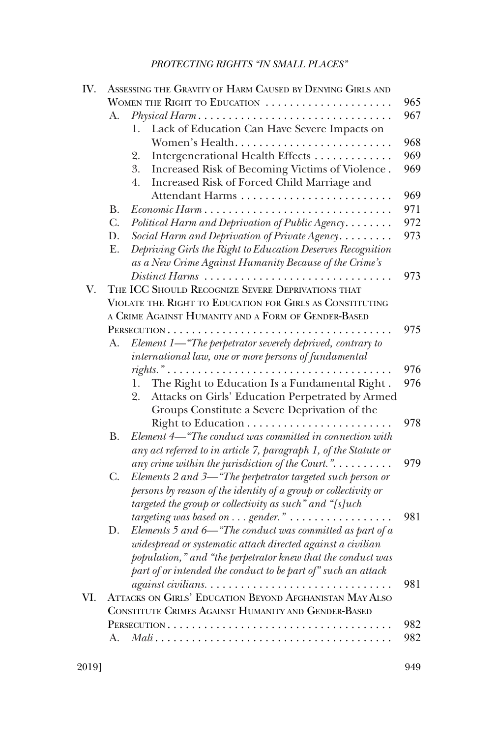| IV. |                                                     | ASSESSING THE GRAVITY OF HARM CAUSED BY DENYING GIRLS AND                                                  |     |  |  |  |  |  |  |  |  |  |
|-----|-----------------------------------------------------|------------------------------------------------------------------------------------------------------------|-----|--|--|--|--|--|--|--|--|--|
|     |                                                     | WOMEN THE RIGHT TO EDUCATION                                                                               | 965 |  |  |  |  |  |  |  |  |  |
|     | А.                                                  | Physical Harm                                                                                              | 967 |  |  |  |  |  |  |  |  |  |
|     |                                                     | Lack of Education Can Have Severe Impacts on<br>1.                                                         |     |  |  |  |  |  |  |  |  |  |
|     |                                                     | Women's Health                                                                                             | 968 |  |  |  |  |  |  |  |  |  |
|     |                                                     | Intergenerational Health Effects<br>2.                                                                     | 969 |  |  |  |  |  |  |  |  |  |
|     |                                                     | 3.<br>Increased Risk of Becoming Victims of Violence.<br>Increased Risk of Forced Child Marriage and<br>4. | 969 |  |  |  |  |  |  |  |  |  |
|     |                                                     | Attendant Harms                                                                                            | 969 |  |  |  |  |  |  |  |  |  |
|     | <b>B.</b>                                           | Economic Harm                                                                                              | 971 |  |  |  |  |  |  |  |  |  |
|     | $C_{\cdot}$                                         | Political Harm and Deprivation of Public Agency                                                            | 972 |  |  |  |  |  |  |  |  |  |
|     | D.                                                  | Social Harm and Deprivation of Private Agency                                                              | 973 |  |  |  |  |  |  |  |  |  |
|     | Ε.                                                  | Depriving Girls the Right to Education Deserves Recognition                                                |     |  |  |  |  |  |  |  |  |  |
|     |                                                     | as a New Crime Against Humanity Because of the Crime's                                                     |     |  |  |  |  |  |  |  |  |  |
| V.  |                                                     | Distinct Harms<br>THE ICC SHOULD RECOGNIZE SEVERE DEPRIVATIONS THAT                                        | 973 |  |  |  |  |  |  |  |  |  |
|     |                                                     | VIOLATE THE RIGHT TO EDUCATION FOR GIRLS AS CONSTITUTING                                                   |     |  |  |  |  |  |  |  |  |  |
|     |                                                     | A CRIME AGAINST HUMANITY AND A FORM OF GENDER-BASED                                                        |     |  |  |  |  |  |  |  |  |  |
|     |                                                     |                                                                                                            | 975 |  |  |  |  |  |  |  |  |  |
|     | A.                                                  | Element 1—"The perpetrator severely deprived, contrary to                                                  |     |  |  |  |  |  |  |  |  |  |
|     |                                                     | international law, one or more persons of fundamental                                                      |     |  |  |  |  |  |  |  |  |  |
|     |                                                     |                                                                                                            | 976 |  |  |  |  |  |  |  |  |  |
|     |                                                     | The Right to Education Is a Fundamental Right.<br>1.                                                       | 976 |  |  |  |  |  |  |  |  |  |
|     |                                                     | Attacks on Girls' Education Perpetrated by Armed<br>2.                                                     |     |  |  |  |  |  |  |  |  |  |
|     |                                                     | Groups Constitute a Severe Deprivation of the                                                              |     |  |  |  |  |  |  |  |  |  |
|     |                                                     |                                                                                                            | 978 |  |  |  |  |  |  |  |  |  |
|     | <b>B.</b>                                           | Element 4—"The conduct was committed in connection with                                                    |     |  |  |  |  |  |  |  |  |  |
|     |                                                     | any act referred to in article 7, paragraph 1, of the Statute or                                           |     |  |  |  |  |  |  |  |  |  |
|     |                                                     | any crime within the jurisdiction of the Court.". $\dots \dots$                                            | 979 |  |  |  |  |  |  |  |  |  |
|     | C.                                                  | Elements 2 and 3-"The perpetrator targeted such person or                                                  |     |  |  |  |  |  |  |  |  |  |
|     |                                                     | persons by reason of the identity of a group or collectivity or                                            |     |  |  |  |  |  |  |  |  |  |
|     |                                                     | targeted the group or collectivity as such" and "[s]uch                                                    |     |  |  |  |  |  |  |  |  |  |
|     |                                                     | targeting was based on $\dots$ gender." $\dots \dots \dots \dots \dots$                                    | 981 |  |  |  |  |  |  |  |  |  |
|     | D.                                                  | Elements 5 and 6-"The conduct was committed as part of a                                                   |     |  |  |  |  |  |  |  |  |  |
|     |                                                     | widespread or systematic attack directed against a civilian                                                |     |  |  |  |  |  |  |  |  |  |
|     |                                                     | population," and "the perpetrator knew that the conduct was                                                |     |  |  |  |  |  |  |  |  |  |
|     |                                                     | part of or intended the conduct to be part of" such an attack                                              |     |  |  |  |  |  |  |  |  |  |
|     |                                                     |                                                                                                            | 981 |  |  |  |  |  |  |  |  |  |
| VI. |                                                     | ATTACKS ON GIRLS' EDUCATION BEYOND AFGHANISTAN MAY ALSO                                                    |     |  |  |  |  |  |  |  |  |  |
|     | CONSTITUTE CRIMES AGAINST HUMANITY AND GENDER-BASED |                                                                                                            |     |  |  |  |  |  |  |  |  |  |
|     |                                                     |                                                                                                            | 982 |  |  |  |  |  |  |  |  |  |
|     | А.                                                  |                                                                                                            | 982 |  |  |  |  |  |  |  |  |  |
|     |                                                     |                                                                                                            |     |  |  |  |  |  |  |  |  |  |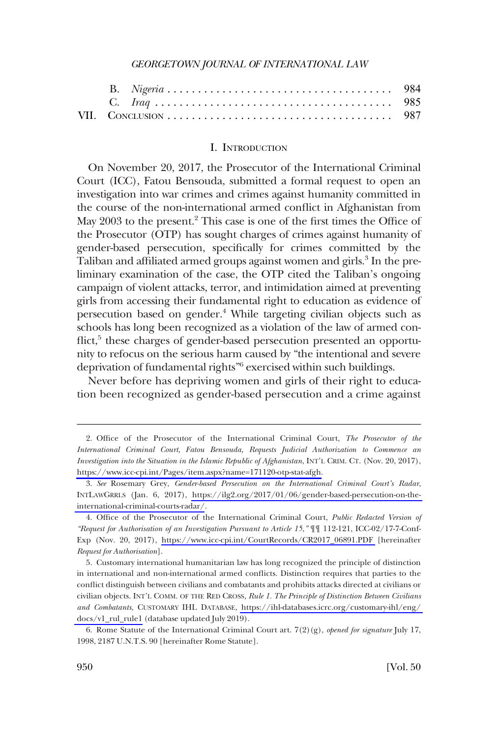<span id="page-3-0"></span>

### I. INTRODUCTION

On November 20, 2017, the Prosecutor of the International Criminal Court (ICC), Fatou Bensouda, submitted a formal request to open an investigation into war crimes and crimes against humanity committed in the course of the non-international armed confict in Afghanistan from May 2003 to the present.<sup>2</sup> This case is one of the first times the Office of the Prosecutor (OTP) has sought charges of crimes against humanity of gender-based persecution, specifcally for crimes committed by the Taliban and affiliated armed groups against women and girls.<sup>3</sup> In the preliminary examination of the case, the OTP cited the Taliban's ongoing campaign of violent attacks, terror, and intimidation aimed at preventing girls from accessing their fundamental right to education as evidence of persecution based on gender.<sup>4</sup> While targeting civilian objects such as schools has long been recognized as a violation of the law of armed conflict,<sup>5</sup> these charges of gender-based persecution presented an opportunity to refocus on the serious harm caused by "the intentional and severe deprivation of fundamental rights"6 exercised within such buildings.

Never before has depriving women and girls of their right to education been recognized as gender-based persecution and a crime against

<sup>2.</sup> Office of the Prosecutor of the International Criminal Court, *The Prosecutor of the International Criminal Court, Fatou Bensouda, Requests Judicial Authorization to Commence an Investigation into the Situation in the Islamic Republic of Afghanistan*, INT'L CRIM. CT. (Nov. 20, 2017), [https://www.icc-cpi.int/Pages/item.aspx?name=171120-otp-stat-afgh.](https://www.icc-cpi.int/Pages/item.aspx?name=171120-otp-stat-afgh)

*See* Rosemary Grey, *Gender-based Persecution on the International Criminal Court's Radar*, 3. INTLAWGRRLS (Jan. 6, 2017), [https://ilg2.org/2017/01/06/gender-based-persecution-on-the](https://ilg2.org/2017/01/06/gender-based-persecution-on-the-international-criminal-courts-radar/)[international-criminal-courts-radar/](https://ilg2.org/2017/01/06/gender-based-persecution-on-the-international-criminal-courts-radar/).

<sup>4.</sup> Office of the Prosecutor of the International Criminal Court, *Public Redacted Version of "Request for Authorisation of an Investigation Pursuant to Article 15*,*"* ¶¶ 112-121, ICC-02/17-7-Conf-Exp (Nov. 20, 2017), [https://www.icc-cpi.int/CourtRecords/CR2017\\_06891.PDF](https://www.icc-cpi.int/CourtRecords/CR2017_06891.PDF) [hereinafter *Request for Authorisation*].

Customary international humanitarian law has long recognized the principle of distinction 5. in international and non-international armed conficts. Distinction requires that parties to the confict distinguish between civilians and combatants and prohibits attacks directed at civilians or civilian objects. INT'L COMM. OF THE RED CROSS, *Rule 1. The Principle of Distinction Between Civilians and Combatants*, CUSTOMARY IHL DATABASE, [https://ihl-databases.icrc.org/customary-ihl/eng/](https://ihl-databases.icrc.org/customary-ihl/eng/docs/v1_rul_rule1)  [docs/v1\\_rul\\_rule1](https://ihl-databases.icrc.org/customary-ihl/eng/docs/v1_rul_rule1) (database updated July 2019).

<sup>6.</sup> Rome Statute of the International Criminal Court art. 7(2)(g), *opened for signature* July 17, 1998, 2187 U.N.T.S. 90 [hereinafter Rome Statute].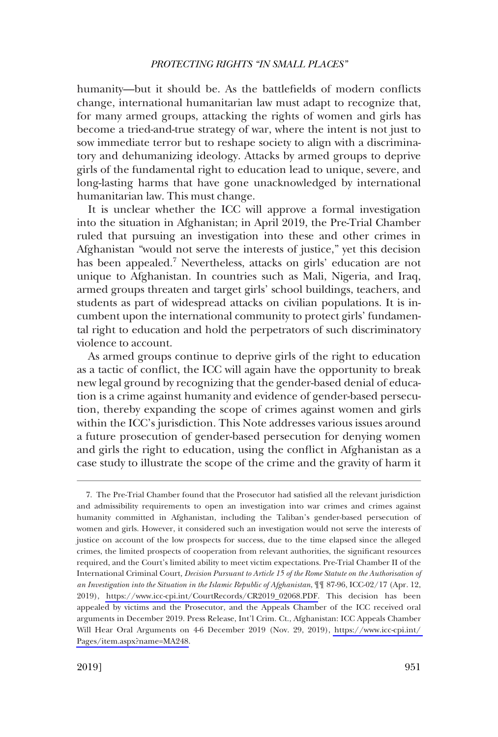humanity—but it should be. As the battlefelds of modern conficts change, international humanitarian law must adapt to recognize that, for many armed groups, attacking the rights of women and girls has become a tried-and-true strategy of war, where the intent is not just to sow immediate terror but to reshape society to align with a discriminatory and dehumanizing ideology. Attacks by armed groups to deprive girls of the fundamental right to education lead to unique, severe, and long-lasting harms that have gone unacknowledged by international humanitarian law. This must change.

It is unclear whether the ICC will approve a formal investigation into the situation in Afghanistan; in April 2019, the Pre-Trial Chamber ruled that pursuing an investigation into these and other crimes in Afghanistan "would not serve the interests of justice," yet this decision has been appealed.<sup>7</sup> Nevertheless, attacks on girls' education are not unique to Afghanistan. In countries such as Mali, Nigeria, and Iraq, armed groups threaten and target girls' school buildings, teachers, and students as part of widespread attacks on civilian populations. It is incumbent upon the international community to protect girls' fundamental right to education and hold the perpetrators of such discriminatory violence to account.

As armed groups continue to deprive girls of the right to education as a tactic of confict, the ICC will again have the opportunity to break new legal ground by recognizing that the gender-based denial of education is a crime against humanity and evidence of gender-based persecution, thereby expanding the scope of crimes against women and girls within the ICC's jurisdiction. This Note addresses various issues around a future prosecution of gender-based persecution for denying women and girls the right to education, using the confict in Afghanistan as a case study to illustrate the scope of the crime and the gravity of harm it

<sup>7.</sup> The Pre-Trial Chamber found that the Prosecutor had satisfied all the relevant jurisdiction and admissibility requirements to open an investigation into war crimes and crimes against humanity committed in Afghanistan, including the Taliban's gender-based persecution of women and girls. However, it considered such an investigation would not serve the interests of justice on account of the low prospects for success, due to the time elapsed since the alleged crimes, the limited prospects of cooperation from relevant authorities, the signifcant resources required, and the Court's limited ability to meet victim expectations. Pre-Trial Chamber II of the International Criminal Court*, Decision Pursuant to Article 15 of the Rome Statute on the Authorisation of an Investigation into the Situation in the Islamic Republic of Afghanistan*, ¶¶ 87-96, ICC-02/17 (Apr. 12, 2019), [https://www.icc-cpi.int/CourtRecords/CR2019\\_02068.PDF](https://www.icc-cpi.int/CourtRecords/CR2019_02068.PDF). This decision has been appealed by victims and the Prosecutor, and the Appeals Chamber of the ICC received oral arguments in December 2019. Press Release, Int'l Crim. Ct., Afghanistan: ICC Appeals Chamber Will Hear Oral Arguments on 4-6 December 2019 (Nov. 29, 2019), [https://www.icc-cpi.int/](https://www.icc-cpi.int/Pages/item.aspx?name=MA248)  [Pages/item.aspx?name=MA248](https://www.icc-cpi.int/Pages/item.aspx?name=MA248).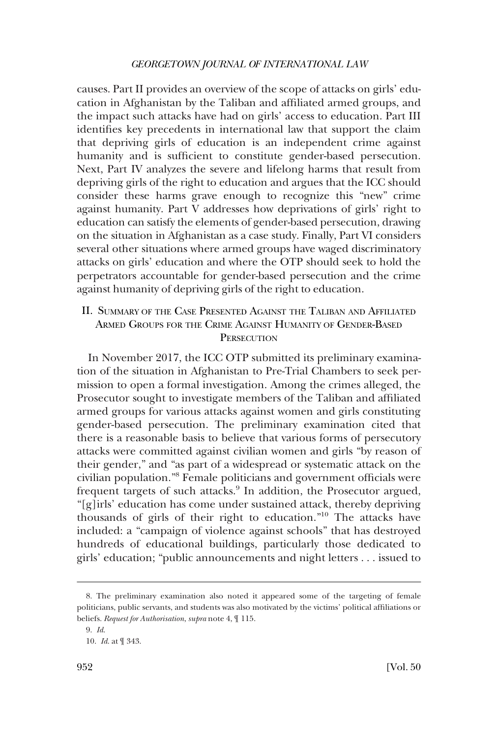<span id="page-5-0"></span>causes. Part II provides an overview of the scope of attacks on girls' education in Afghanistan by the Taliban and affliated armed groups, and the impact such attacks have had on girls' access to education. Part III identifes key precedents in international law that support the claim that depriving girls of education is an independent crime against humanity and is sufficient to constitute gender-based persecution. Next, Part IV analyzes the severe and lifelong harms that result from depriving girls of the right to education and argues that the ICC should consider these harms grave enough to recognize this "new" crime against humanity. Part V addresses how deprivations of girls' right to education can satisfy the elements of gender-based persecution, drawing on the situation in Afghanistan as a case study. Finally, Part VI considers several other situations where armed groups have waged discriminatory attacks on girls' education and where the OTP should seek to hold the perpetrators accountable for gender-based persecution and the crime against humanity of depriving girls of the right to education.

## II. SUMMARY OF THE CASE PRESENTED AGAINST THE TALIBAN AND AFFILIATED ARMED GROUPS FOR THE CRIME AGAINST HUMANITY OF GENDER-BASED **PERSECUTION**

In November 2017, the ICC OTP submitted its preliminary examination of the situation in Afghanistan to Pre-Trial Chambers to seek permission to open a formal investigation. Among the crimes alleged, the Prosecutor sought to investigate members of the Taliban and affliated armed groups for various attacks against women and girls constituting gender-based persecution. The preliminary examination cited that there is a reasonable basis to believe that various forms of persecutory attacks were committed against civilian women and girls "by reason of their gender," and "as part of a widespread or systematic attack on the civilian population."8 Female politicians and government offcials were frequent targets of such attacks.<sup>9</sup> In addition, the Prosecutor argued, "[g]irls' education has come under sustained attack, thereby depriving thousands of girls of their right to education."10 The attacks have included: a "campaign of violence against schools" that has destroyed hundreds of educational buildings, particularly those dedicated to girls' education; "public announcements and night letters . . . issued to

<sup>8.</sup> The preliminary examination also noted it appeared some of the targeting of female politicians, public servants, and students was also motivated by the victims' political affliations or beliefs. *Request for Authorisation*, *supra* note 4, ¶ 115.

<sup>9.</sup> *Id*.

<sup>10.</sup> *Id*. at ¶ 343.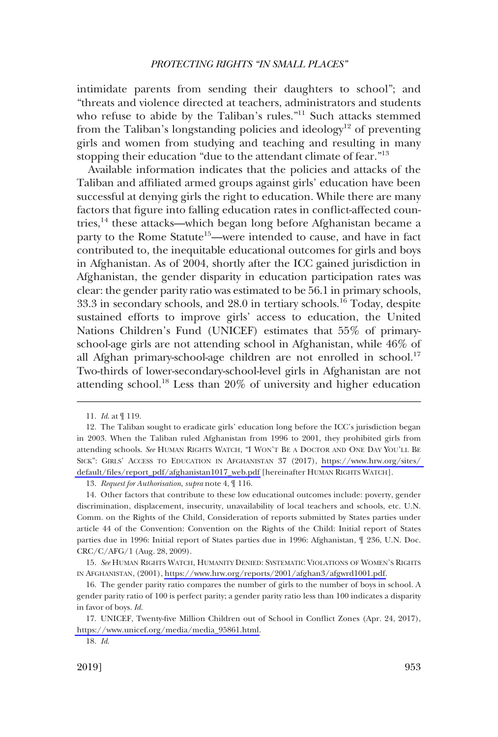intimidate parents from sending their daughters to school"; and "threats and violence directed at teachers, administrators and students who refuse to abide by the Taliban's rules."<sup>11</sup> Such attacks stemmed from the Taliban's longstanding policies and ideology<sup>12</sup> of preventing girls and women from studying and teaching and resulting in many stopping their education "due to the attendant climate of fear."<sup>13</sup>

Available information indicates that the policies and attacks of the Taliban and affliated armed groups against girls' education have been successful at denying girls the right to education. While there are many factors that fgure into falling education rates in confict-affected countries,14 these attacks—which began long before Afghanistan became a party to the Rome Statute<sup>15</sup>—were intended to cause, and have in fact contributed to, the inequitable educational outcomes for girls and boys in Afghanistan. As of 2004, shortly after the ICC gained jurisdiction in Afghanistan, the gender disparity in education participation rates was clear: the gender parity ratio was estimated to be 56.1 in primary schools, 33.3 in secondary schools, and 28.0 in tertiary schools.16 Today, despite sustained efforts to improve girls' access to education, the United Nations Children's Fund (UNICEF) estimates that 55% of primaryschool-age girls are not attending school in Afghanistan, while 46% of all Afghan primary-school-age children are not enrolled in school.<sup>17</sup> Two-thirds of lower-secondary-school-level girls in Afghanistan are not attending school.<sup>18</sup> Less than  $20\%$  of university and higher education

13. *Request for Authorisation*, *supra* note 4, ¶ 116.

<sup>11.</sup> *Id*. at ¶ 119.

The Taliban sought to eradicate girls' education long before the ICC's jurisdiction began 12. in 2003. When the Taliban ruled Afghanistan from 1996 to 2001, they prohibited girls from attending schools. *See* HUMAN RIGHTS WATCH, "I WON'T BE A DOCTOR AND ONE DAY YOU'LL BE SICK": GIRLS' ACCESS TO EDUCATION IN AFGHANISTAN 37 (2017), [https://www.hrw.org/sites/](https://www.hrw.org/sites/default/files/report_pdf/afghanistan1017_web.pdf)  [default/fles/report\\_pdf/afghanistan1017\\_web.pdf](https://www.hrw.org/sites/default/files/report_pdf/afghanistan1017_web.pdf) [hereinafter HUMAN RIGHTS WATCH].

<sup>14.</sup> Other factors that contribute to these low educational outcomes include: poverty, gender discrimination, displacement, insecurity, unavailability of local teachers and schools, etc. U.N. Comm. on the Rights of the Child, Consideration of reports submitted by States parties under article 44 of the Convention: Convention on the Rights of the Child: Initial report of States parties due in 1996: Initial report of States parties due in 1996: Afghanistan, ¶ 236, U.N. Doc. CRC/C/AFG/1 (Aug. 28, 2009).

<sup>15.</sup> See HUMAN RIGHTS WATCH, HUMANITY DENIED: SYSTEMATIC VIOLATIONS OF WOMEN'S RIGHTS IN AFGHANISTAN, (2001), [https://www.hrw.org/reports/2001/afghan3/afgwrd1001.pdf.](https://www.hrw.org/reports/2001/afghan3/afgwrd1001.pdf)

<sup>16.</sup> The gender parity ratio compares the number of girls to the number of boys in school. A gender parity ratio of 100 is perfect parity; a gender parity ratio less than 100 indicates a disparity in favor of boys. *Id*.

<sup>17.</sup> UNICEF, Twenty-five Million Children out of School in Conflict Zones (Apr. 24, 2017), [https://www.unicef.org/media/media\\_95861.html.](https://www.unicef.org/media/media_95861.html)

<sup>18.</sup> *Id*.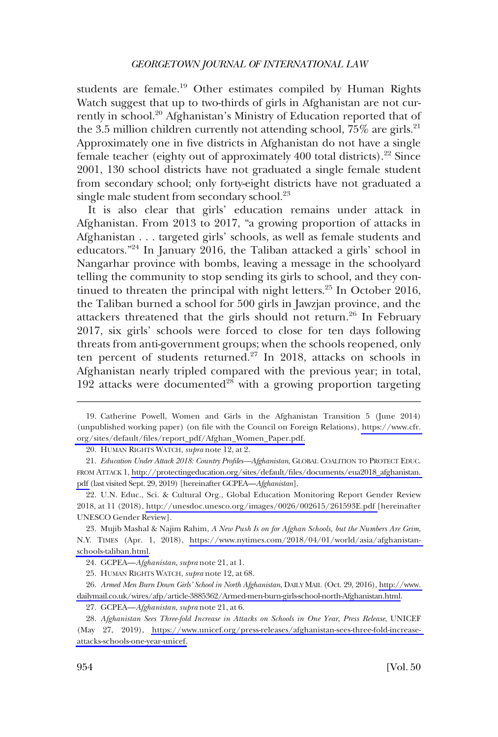students are female.<sup>19</sup> Other estimates compiled by Human Rights Watch suggest that up to two-thirds of girls in Afghanistan are not currently in school.20 Afghanistan's Ministry of Education reported that of the 3.5 million children currently not attending school,  $75\%$  are girls.<sup>21</sup> Approximately one in fve districts in Afghanistan do not have a single female teacher (eighty out of approximately 400 total districts).<sup>22</sup> Since 2001, 130 school districts have not graduated a single female student from secondary school; only forty-eight districts have not graduated a single male student from secondary school.<sup>23</sup>

It is also clear that girls' education remains under attack in Afghanistan. From 2013 to 2017, "a growing proportion of attacks in Afghanistan . . . targeted girls' schools, as well as female students and educators."24 In January 2016, the Taliban attacked a girls' school in Nangarhar province with bombs, leaving a message in the schoolyard telling the community to stop sending its girls to school, and they continued to threaten the principal with night letters.<sup>25</sup> In October 2016, the Taliban burned a school for 500 girls in Jawzjan province, and the attackers threatened that the girls should not return.<sup>26</sup> In February 2017, six girls' schools were forced to close for ten days following threats from anti-government groups; when the schools reopened, only ten percent of students returned.<sup>27</sup> In 2018, attacks on schools in Afghanistan nearly tripled compared with the previous year; in total, 192 attacks were documented<sup>28</sup> with a growing proportion targeting

Catherine Powell, Women and Girls in the Afghanistan Transition 5 (June 2014) 19. (unpublished working paper) (on fle with the Council on Foreign Relations), [https://www.cfr.](https://www.cfr.org/sites/default/files/report_pdf/Afghan_Women_Paper.pdf)  [org/sites/default/fles/report\\_pdf/Afghan\\_Women\\_Paper.pdf.](https://www.cfr.org/sites/default/files/report_pdf/Afghan_Women_Paper.pdf)

<sup>20.</sup> HUMAN RIGHTS WATCH, *supra* note 12, at 2.

*Education Under Attack 2018: Country Profles—Afghanistan*, GLOBAL COALITION TO PROTECT EDUC. 21. FROM ATTACK 1, [http://protectingeducation.org/sites/default/fles/documents/eua2018\\_afghanistan.](http://protectingeducation.org/sites/default/files/documents/eua2018_afghanistan.pdf)  [pdf](http://protectingeducation.org/sites/default/files/documents/eua2018_afghanistan.pdf) (last visited Sept. 29, 2019) [hereinafter GCPEA—*Afghanistan*].

<sup>22.</sup> U.N. Educ., Sci. & Cultural Org., Global Education Monitoring Report Gender Review 2018, at 11 (2018), [http://unesdoc.unesco.org/images/0026/002615/261593E.pdf \[](http://unesdoc.unesco.org/images/0026/002615/261593E.pdf)hereinafter UNESCO Gender Review].

Mujib Mashal & Najim Rahim, *A New Push Is on for Afghan Schools, but the Numbers Are Grim*, 23. N.Y. TIMES (Apr. 1, 2018), [https://www.nytimes.com/2018/04/01/world/asia/afghanistan](https://www.nytimes.com/2018/04/01/world/asia/afghanistan-schools-taliban.html)[schools-taliban.html](https://www.nytimes.com/2018/04/01/world/asia/afghanistan-schools-taliban.html).

<sup>24.</sup> GCPEA—*Afghanistan*, *supra* note 21, at 1.

<sup>25.</sup> HUMAN RIGHTS WATCH, *supra* note 12, at 68.

*Armed Men Burn Down Girls' School in North Afghanistan*, DAILY MAIL (Oct. 29, 2016), [http://www.](http://www.dailymail.co.uk/wires/afp/article-3885362/Armed-men-burn-girls-school-north-Afghanistan.html)  26. [dailymail.co.uk/wires/afp/article-3885362/Armed-men-burn-girls-school-north-Afghanistan.html.](http://www.dailymail.co.uk/wires/afp/article-3885362/Armed-men-burn-girls-school-north-Afghanistan.html)

<sup>27.</sup> GCPEA—*Afghanistan*, *supra* note 21, at 6.

*Afghanistan Sees Three-fold Increase in Attacks on Schools in One Year*, *Press Release*, UNICEF 28. (May 27, 2019), [https://www.unicef.org/press-releases/afghanistan-sees-three-fold-increase](https://www.unicef.org/press-releases/afghanistan-sees-three-fold-increase-attacks-schools-one-year-unicef)[attacks-schools-one-year-unicef.](https://www.unicef.org/press-releases/afghanistan-sees-three-fold-increase-attacks-schools-one-year-unicef)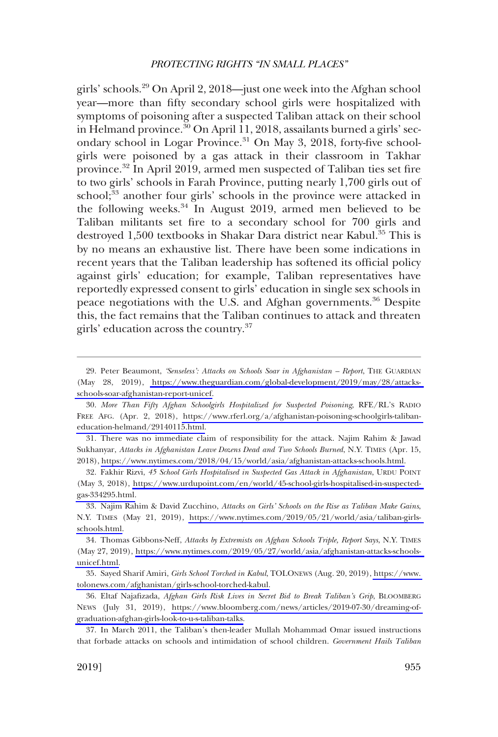girls' schools.29 On April 2, 2018—just one week into the Afghan school year—more than ffty secondary school girls were hospitalized with symptoms of poisoning after a suspected Taliban attack on their school in Helmand province.<sup>30</sup> On April 11, 2018, assailants burned a girls' secondary school in Logar Province.<sup>31</sup> On May 3, 2018, forty-five schoolgirls were poisoned by a gas attack in their classroom in Takhar province.<sup>32</sup> In April 2019, armed men suspected of Taliban ties set fire to two girls' schools in Farah Province, putting nearly 1,700 girls out of school;<sup>33</sup> another four girls' schools in the province were attacked in the following weeks.<sup>34</sup> In August 2019, armed men believed to be Taliban militants set fre to a secondary school for 700 girls and destroyed 1,500 textbooks in Shakar Dara district near Kabul.<sup>35</sup> This is by no means an exhaustive list. There have been some indications in recent years that the Taliban leadership has softened its official policy against girls' education; for example, Taliban representatives have reportedly expressed consent to girls' education in single sex schools in peace negotiations with the U.S. and Afghan governments.<sup>36</sup> Despite this, the fact remains that the Taliban continues to attack and threaten girls' education across the country.37

There was no immediate claim of responsibility for the attack. Najim Rahim & Jawad 31. Sukhanyar, *Attacks in Afghanistan Leave Dozens Dead and Two Schools Burned*, N.Y. TIMES (Apr. 15, 2018), [https://www.nytimes.com/2018/04/15/world/asia/afghanistan-attacks-schools.html.](https://www.nytimes.com/2018/04/15/world/asia/afghanistan-attacks-schools.html)

Fakhir Rizvi, *45 School Girls Hospitalised in Suspected Gas Attack in Afghanistan*, URDU POINT 32. (May 3, 2018), [https://www.urdupoint.com/en/world/45-school-girls-hospitalised-in-suspected](https://www.urdupoint.com/en/world/45-school-girls-hospitalised-in-suspected-gas-334295.html)[gas-334295.html.](https://www.urdupoint.com/en/world/45-school-girls-hospitalised-in-suspected-gas-334295.html)

Najim Rahim & David Zucchino, *Attacks on Girls' Schools on the Rise as Taliban Make Gains*, 33. N.Y. TIMES (May 21, 2019), [https://www.nytimes.com/2019/05/21/world/asia/taliban-girls](https://www.nytimes.com/2019/05/21/world/asia/taliban-girls-schools.html)[schools.html.](https://www.nytimes.com/2019/05/21/world/asia/taliban-girls-schools.html)

Thomas Gibbons-Neff, *Attacks by Extremists on Afghan Schools Triple, Report Says*, N.Y. TIMES 34. (May 27, 2019), [https://www.nytimes.com/2019/05/27/world/asia/afghanistan-attacks-schools](https://www.nytimes.com/2019/05/27/world/asia/afghanistan-attacks-schools-unicef.html)[unicef.html.](https://www.nytimes.com/2019/05/27/world/asia/afghanistan-attacks-schools-unicef.html)

35. Sayed Sharif Amiri, *Girls School Torched in Kabul*, TOLONEWS (Aug. 20, 2019), https://www. [tolonews.com/afghanistan/girls-school-torched-kabul.](https://www.tolonews.com/afghanistan/girls-school-torched-kabul)

Eltaf Najafzada, *Afghan Girls Risk Lives in Secret Bid to Break Taliban's Grip*, BLOOMBERG 36. NEWS (July 31, 2019), [https://www.bloomberg.com/news/articles/2019-07-30/dreaming-of](https://www.bloomberg.com/news/articles/2019-07-30/dreaming-of-graduation-afghan-girls-look-to-u-s-taliban-talks)[graduation-afghan-girls-look-to-u-s-taliban-talks.](https://www.bloomberg.com/news/articles/2019-07-30/dreaming-of-graduation-afghan-girls-look-to-u-s-taliban-talks)

37. In March 2011, the Taliban's then-leader Mullah Mohammad Omar issued instructions that forbade attacks on schools and intimidation of school children. *Government Hails Taliban* 

<sup>29.</sup> Peter Beaumont, 'Senseless': Attacks on Schools Soar in Afghanistan - Report, THE GUARDIAN (May 28, 2019), [https://www.theguardian.com/global-development/2019/may/28/attacks](https://www.theguardian.com/global-development/2019/may/28/attacks-schools-soar-afghanistan-report-unicef)[schools-soar-afghanistan-report-unicef.](https://www.theguardian.com/global-development/2019/may/28/attacks-schools-soar-afghanistan-report-unicef)

*More Than Fifty Afghan Schoolgirls Hospitalized for Suspected Poisoning*, RFE/RL'S RADIO 30. FREE AFG. (Apr. 2, 2018), [https://www.rferl.org/a/afghanistan-poisoning-schoolgirls-taliban](https://www.rferl.org/a/afghanistan-poisoning-schoolgirls-taliban-education-helmand/29140115.html)[education-helmand/29140115.html.](https://www.rferl.org/a/afghanistan-poisoning-schoolgirls-taliban-education-helmand/29140115.html)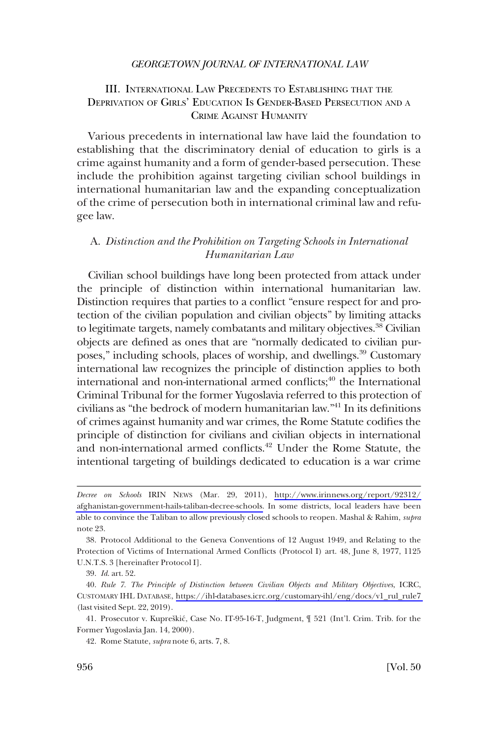## <span id="page-9-0"></span>III. INTERNATIONAL LAW PRECEDENTS TO ESTABLISHING THAT THE DEPRIVATION OF GIRLS' EDUCATION IS GENDER-BASED PERSECUTION AND A CRIME AGAINST HUMANITY

Various precedents in international law have laid the foundation to establishing that the discriminatory denial of education to girls is a crime against humanity and a form of gender-based persecution. These include the prohibition against targeting civilian school buildings in international humanitarian law and the expanding conceptualization of the crime of persecution both in international criminal law and refugee law.

## A. *Distinction and the Prohibition on Targeting Schools in International Humanitarian Law*

Civilian school buildings have long been protected from attack under the principle of distinction within international humanitarian law. Distinction requires that parties to a confict "ensure respect for and protection of the civilian population and civilian objects" by limiting attacks to legitimate targets, namely combatants and military objectives.<sup>38</sup> Civilian objects are defned as ones that are "normally dedicated to civilian purposes," including schools, places of worship, and dwellings.<sup>39</sup> Customary international law recognizes the principle of distinction applies to both international and non-international armed conflicts;<sup>40</sup> the International Criminal Tribunal for the former Yugoslavia referred to this protection of civilians as "the bedrock of modern humanitarian law."41 In its defnitions of crimes against humanity and war crimes, the Rome Statute codifes the principle of distinction for civilians and civilian objects in international and non-international armed conflicts.<sup>42</sup> Under the Rome Statute, the intentional targeting of buildings dedicated to education is a war crime

*Decree on Schools* IRIN NEWS (Mar. 29, 2011), [http://www.irinnews.org/report/92312/](http://www.irinnews.org/report/92312/afghanistan-government-hails-taliban-decree-schools) [afghanistan-government-hails-taliban-decree-schools.](http://www.irinnews.org/report/92312/afghanistan-government-hails-taliban-decree-schools) In some districts, local leaders have been able to convince the Taliban to allow previously closed schools to reopen. Mashal & Rahim, *supra*  note 23.

<sup>38.</sup> Protocol Additional to the Geneva Conventions of 12 August 1949, and Relating to the Protection of Victims of International Armed Conficts (Protocol I) art. 48, June 8, 1977, 1125 U.N.T.S. 3 [hereinafter Protocol I].

<sup>39.</sup> *Id*. art. 52.

<sup>40.</sup>  *Rule 7. The Principle of Distinction between Civilian Objects and Military Objectives*, ICRC, CUSTOMARY IHL DATABASE, [https://ihl-databases.icrc.org/customary-ihl/eng/docs/v1\\_rul\\_rule7](https://ihl-databases.icrc.org/customary-ihl/eng/docs/v1_rul_rule7)  (last visited Sept. 22, 2019).

<sup>41.</sup> Prosecutor v. Kupreškić, Case No. IT-95-16-T, Judgment,  $\mathcal{F}$  521 (Int'l. Crim. Trib. for the Former Yugoslavia Jan. 14, 2000).

<sup>42.</sup> Rome Statute, *supra* note 6, arts. 7, 8.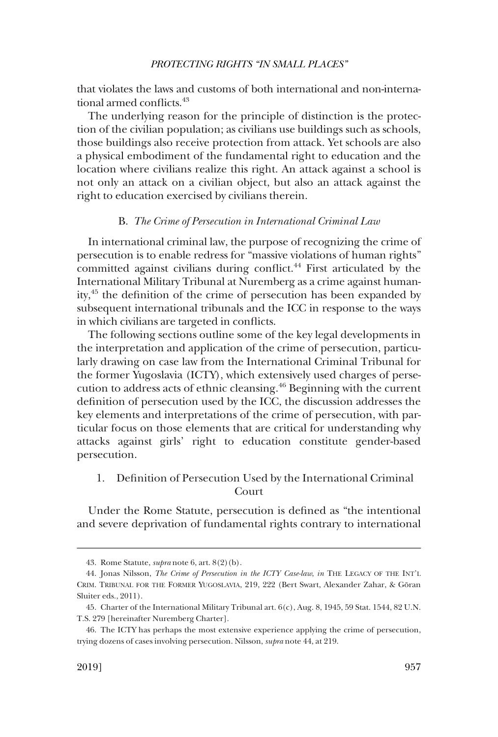<span id="page-10-0"></span>that violates the laws and customs of both international and non-international armed conflicts.<sup>43</sup>

The underlying reason for the principle of distinction is the protection of the civilian population; as civilians use buildings such as schools, those buildings also receive protection from attack. Yet schools are also a physical embodiment of the fundamental right to education and the location where civilians realize this right. An attack against a school is not only an attack on a civilian object, but also an attack against the right to education exercised by civilians therein.

#### B. *The Crime of Persecution in International Criminal Law*

In international criminal law, the purpose of recognizing the crime of persecution is to enable redress for "massive violations of human rights" committed against civilians during confict.44 First articulated by the International Military Tribunal at Nuremberg as a crime against humanity,45 the defnition of the crime of persecution has been expanded by subsequent international tribunals and the ICC in response to the ways in which civilians are targeted in conficts.

The following sections outline some of the key legal developments in the interpretation and application of the crime of persecution, particularly drawing on case law from the International Criminal Tribunal for the former Yugoslavia (ICTY), which extensively used charges of persecution to address acts of ethnic cleansing.46 Beginning with the current defnition of persecution used by the ICC, the discussion addresses the key elements and interpretations of the crime of persecution, with particular focus on those elements that are critical for understanding why attacks against girls' right to education constitute gender-based persecution.

## 1. Defnition of Persecution Used by the International Criminal Court

Under the Rome Statute, persecution is defned as "the intentional and severe deprivation of fundamental rights contrary to international

<sup>43.</sup> Rome Statute, *supra* note 6, art. 8(2)(b).

<sup>44.</sup> Jonas Nilsson, *The Crime of Persecution in the ICTY Case-law*, *in* THE LEGACY OF THE INT'L CRIM. TRIBUNAL FOR THE FORMER YUGOSLAVIA, 219, 222 (Bert Swart, Alexander Zahar, & Göran Sluiter eds., 2011).

<sup>45.</sup> Charter of the International Military Tribunal art. 6(c), Aug. 8, 1945, 59 Stat. 1544, 82 U.N. T.S. 279 [hereinafter Nuremberg Charter].

<sup>46.</sup> The ICTY has perhaps the most extensive experience applying the crime of persecution, trying dozens of cases involving persecution. Nilsson, *supra* note 44, at 219.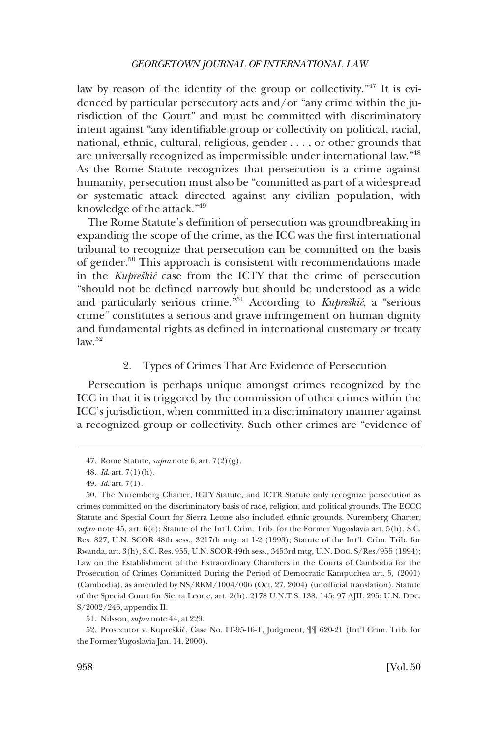<span id="page-11-0"></span>law by reason of the identity of the group or collectivity."47 It is evidenced by particular persecutory acts and/or "any crime within the jurisdiction of the Court" and must be committed with discriminatory intent against "any identifable group or collectivity on political, racial, national, ethnic, cultural, religious, gender . . . , or other grounds that are universally recognized as impermissible under international law."48 As the Rome Statute recognizes that persecution is a crime against humanity, persecution must also be "committed as part of a widespread or systematic attack directed against any civilian population, with knowledge of the attack."49

The Rome Statute's defnition of persecution was groundbreaking in expanding the scope of the crime, as the ICC was the frst international tribunal to recognize that persecution can be committed on the basis of gender.50 This approach is consistent with recommendations made in the *Kupreškić* case from the ICTY that the crime of persecution "should not be defned narrowly but should be understood as a wide and particularly serious crime.<sup>"51</sup> According to *Kupreškić*, a "serious crime" constitutes a serious and grave infringement on human dignity and fundamental rights as defned in international customary or treaty  $law<sup>52</sup>$ 

### 2. Types of Crimes That Are Evidence of Persecution

Persecution is perhaps unique amongst crimes recognized by the ICC in that it is triggered by the commission of other crimes within the ICC's jurisdiction, when committed in a discriminatory manner against a recognized group or collectivity. Such other crimes are "evidence of

<sup>47.</sup> Rome Statute, *supra* note 6, art. 7(2)(g).

<sup>48.</sup> *Id*. art. 7(1)(h).

<sup>49.</sup> *Id*. art. 7(1).

<sup>50.</sup> The Nuremberg Charter, ICTY Statute, and ICTR Statute only recognize persecution as crimes committed on the discriminatory basis of race, religion, and political grounds. The ECCC Statute and Special Court for Sierra Leone also included ethnic grounds. Nuremberg Charter, *supra* note 45, art. 6(c); Statute of the Int'l. Crim. Trib. for the Former Yugoslavia art. 5(h), S.C. Res. 827, U.N. SCOR 48th sess., 3217th mtg. at 1-2 (1993); Statute of the Int'l. Crim. Trib. for Rwanda, art. 3(h), S.C. Res. 955, U.N. SCOR 49th sess., 3453rd mtg, U.N. DOC. S/Res/955 (1994); Law on the Establishment of the Extraordinary Chambers in the Courts of Cambodia for the Prosecution of Crimes Committed During the Period of Democratic Kampuchea art. 5, (2001) (Cambodia), as amended by NS/RKM/1004/006 (Oct. 27, 2004) (unoffcial translation). Statute of the Special Court for Sierra Leone, art. 2(h), 2178 U.N.T.S. 138, 145; 97 AJIL 295; U.N. DOC. S/2002/246, appendix II.

<sup>51.</sup> Nilsson, *supra* note 44, at 229.

<sup>52.</sup> Prosecutor v. Kupreškić, Case No. IT-95-16-T, Judgment,  $\P$  620-21 (Int'l Crim. Trib. for the Former Yugoslavia Jan. 14, 2000).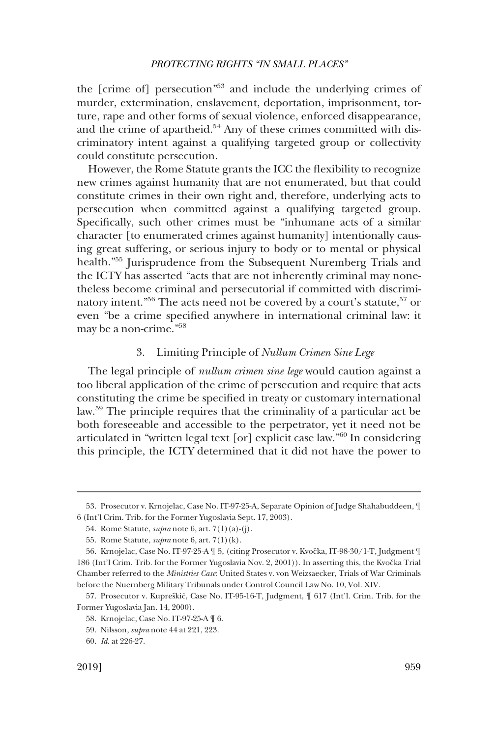<span id="page-12-0"></span>the [crime of] persecution"53 and include the underlying crimes of murder, extermination, enslavement, deportation, imprisonment, torture, rape and other forms of sexual violence, enforced disappearance, and the crime of apartheid. $54$  Any of these crimes committed with discriminatory intent against a qualifying targeted group or collectivity could constitute persecution.

However, the Rome Statute grants the ICC the fexibility to recognize new crimes against humanity that are not enumerated, but that could constitute crimes in their own right and, therefore, underlying acts to persecution when committed against a qualifying targeted group. Specifcally, such other crimes must be "inhumane acts of a similar character [to enumerated crimes against humanity] intentionally causing great suffering, or serious injury to body or to mental or physical health."<sup>55</sup> Jurisprudence from the Subsequent Nuremberg Trials and the ICTY has asserted "acts that are not inherently criminal may nonetheless become criminal and persecutorial if committed with discriminatory intent."<sup>56</sup> The acts need not be covered by a court's statute,  $57$  or even "be a crime specifed anywhere in international criminal law: it may be a non-crime."<sup>58</sup>

### 3. Limiting Principle of *Nullum Crimen Sine Lege*

The legal principle of *nullum crimen sine lege* would caution against a too liberal application of the crime of persecution and require that acts constituting the crime be specifed in treaty or customary international law.59 The principle requires that the criminality of a particular act be both foreseeable and accessible to the perpetrator, yet it need not be articulated in "written legal text [or] explicit case law."60 In considering this principle, the ICTY determined that it did not have the power to

<sup>53.</sup> Prosecutor v. Krnojelac, Case No. IT-97-25-A, Separate Opinion of Judge Shahabuddeen, ¶ 6 (Int'l Crim. Trib. for the Former Yugoslavia Sept. 17, 2003).

<sup>54.</sup> Rome Statute, *supra* note 6, art. 7(1)(a)-(j).

<sup>55.</sup> Rome Statute, *supra* note 6, art. 7(1)(k).

<sup>56.</sup> Krnojelac, Case No. IT-97-25-A  $\mathbb I$  5, (citing Prosecutor v. Kvočka, IT-98-30/1-T, Judgment  $\mathbb I$ 186 (Int'l Crim. Trib. for the Former Yugoslavia Nov. 2, 2001)). In asserting this, the Kvočka Trial Chamber referred to the *Ministries Case*: United States v. von Weizsaecker, Trials of War Criminals before the Nuernberg Military Tribunals under Control Council Law No. 10, Vol. XIV.

<sup>57.</sup> Prosecutor v. Kupreškić, Case No. IT-95-16-T, Judgment,  $\parallel$  617 (Int'l. Crim. Trib. for the Former Yugoslavia Jan. 14, 2000).

<sup>58.</sup> Krnojelac, Case No. IT-97-25-A ¶ 6.

<sup>59.</sup> Nilsson, *supra* note 44 at 221, 223.

<sup>60.</sup> *Id*. at 226-27.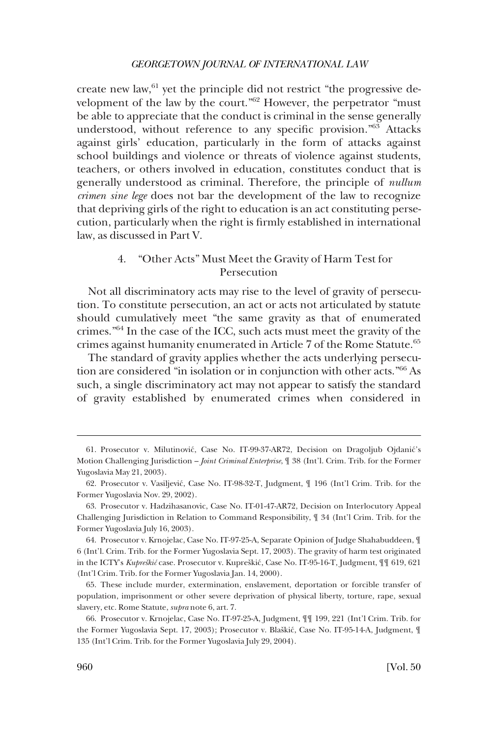<span id="page-13-0"></span>create new law,<sup>61</sup> yet the principle did not restrict "the progressive development of the law by the court."62 However, the perpetrator "must be able to appreciate that the conduct is criminal in the sense generally understood, without reference to any specifc provision."63 Attacks against girls' education, particularly in the form of attacks against school buildings and violence or threats of violence against students, teachers, or others involved in education, constitutes conduct that is generally understood as criminal. Therefore, the principle of *nullum crimen sine lege* does not bar the development of the law to recognize that depriving girls of the right to education is an act constituting persecution, particularly when the right is frmly established in international law, as discussed in Part V.

### 4. "Other Acts" Must Meet the Gravity of Harm Test for Persecution

Not all discriminatory acts may rise to the level of gravity of persecution. To constitute persecution, an act or acts not articulated by statute should cumulatively meet "the same gravity as that of enumerated crimes."64 In the case of the ICC, such acts must meet the gravity of the crimes against humanity enumerated in Article 7 of the Rome Statute.<sup>65</sup>

The standard of gravity applies whether the acts underlying persecution are considered "in isolation or in conjunction with other acts."66 As such, a single discriminatory act may not appear to satisfy the standard of gravity established by enumerated crimes when considered in

<sup>61.</sup> Prosecutor v. Milutinović, Case No. IT-99-37-AR72, Decision on Dragoljub Ojdanić's Motion Challenging Jurisdiction – *Joint Criminal Enterprise*, ¶ 38 (Int'l. Crim. Trib. for the Former Yugoslavia May 21, 2003).

<sup>62.</sup> Prosecutor v. Vasiljević, Case No. IT-98-32-T, Judgment,  $\P$  196 (Int'l Crim. Trib. for the Former Yugoslavia Nov. 29, 2002).

<sup>63.</sup> Prosecutor v. Hadzihasanovic, Case No. IT-01-47-AR72, Decision on Interlocutory Appeal Challenging Jurisdiction in Relation to Command Responsibility, ¶ 34 (Int'l Crim. Trib. for the Former Yugoslavia July 16, 2003).

<sup>64.</sup> Prosecutor v. Krnojelac, Case No. IT-97-25-A, Separate Opinion of Judge Shahabuddeen, ¶ 6 (Int'l. Crim. Trib. for the Former Yugoslavia Sept. 17, 2003). The gravity of harm test originated in the ICTY's *Kupreškić* case. Prosecutor v. Kupreškić, Case No. IT-95-16-T, Judgment,  $\P$  [ 619, 621 (Int'l Crim. Trib. for the Former Yugoslavia Jan. 14, 2000).

<sup>65.</sup> These include murder, extermination, enslavement, deportation or forcible transfer of population, imprisonment or other severe deprivation of physical liberty, torture, rape, sexual slavery, etc. Rome Statute, *supra* note 6, art. 7.

<sup>66.</sup> Prosecutor v. Krnojelac, Case No. IT-97-25-A, Judgment, ¶¶ 199, 221 (Int'l Crim. Trib. for the Former Yugoslavia Sept. 17, 2003); Prosecutor v. Blaškić, Case No. IT-95-14-A, Judgment, ¶ 135 (Int'l Crim. Trib. for the Former Yugoslavia July 29, 2004).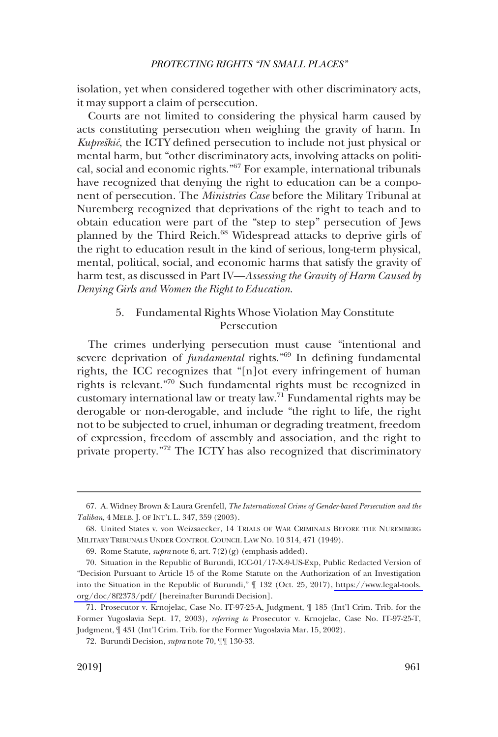<span id="page-14-0"></span>isolation, yet when considered together with other discriminatory acts, it may support a claim of persecution.

Courts are not limited to considering the physical harm caused by acts constituting persecution when weighing the gravity of harm. In *Kupreškić*, the ICTY defined persecution to include not just physical or mental harm, but "other discriminatory acts, involving attacks on political, social and economic rights."67 For example, international tribunals have recognized that denying the right to education can be a component of persecution. The *Ministries Case* before the Military Tribunal at Nuremberg recognized that deprivations of the right to teach and to obtain education were part of the "step to step" persecution of Jews planned by the Third Reich.<sup>68</sup> Widespread attacks to deprive girls of the right to education result in the kind of serious, long-term physical, mental, political, social, and economic harms that satisfy the gravity of harm test, as discussed in Part IV—*Assessing the Gravity of Harm Caused by Denying Girls and Women the Right to Education*.

## 5. Fundamental Rights Whose Violation May Constitute Persecution

The crimes underlying persecution must cause "intentional and severe deprivation of *fundamental* rights."<sup>69</sup> In defining fundamental rights, the ICC recognizes that "[n]ot every infringement of human rights is relevant."70 Such fundamental rights must be recognized in customary international law or treaty law.71 Fundamental rights may be derogable or non-derogable, and include "the right to life, the right not to be subjected to cruel, inhuman or degrading treatment, freedom of expression, freedom of assembly and association, and the right to private property."72 The ICTY has also recognized that discriminatory

<sup>67.</sup> A. Widney Brown & Laura Grenfell, *The International Crime of Gender-based Persecution and the Taliban*, 4 MELB. J. OF INT'L L. 347, 359 (2003).

<sup>68.</sup> United States v. von Weizsaecker, 14 TRIALS OF WAR CRIMINALS BEFORE THE NUREMBERG MILITARY TRIBUNALS UNDER CONTROL COUNCIL LAW NO. 10 314, 471 (1949).

<sup>69.</sup> Rome Statute, *supra* note 6, art. 7(2)(g) (emphasis added).

<sup>70.</sup> Situation in the Republic of Burundi, ICC-01/17-X-9-US-Exp, Public Redacted Version of "Decision Pursuant to Article 15 of the Rome Statute on the Authorization of an Investigation into the Situation in the Republic of Burundi," ¶ 132 (Oct. 25, 2017), [https://www.legal-tools.](https://www.legal-tools.org/doc/8f2373/pdf/)  [org/doc/8f2373/pdf/](https://www.legal-tools.org/doc/8f2373/pdf/) [hereinafter Burundi Decision].

<sup>71.</sup> Prosecutor v. Krnojelac, Case No. IT-97-25-A, Judgment, ¶ 185 (Int'l Crim. Trib. for the Former Yugoslavia Sept. 17, 2003), *referring to* Prosecutor v. Krnojelac, Case No. IT-97-25-T, Judgment, ¶ 431 (Int'l Crim. Trib. for the Former Yugoslavia Mar. 15, 2002).

<sup>72.</sup> Burundi Decision, *supra* note 70, ¶¶ 130-33.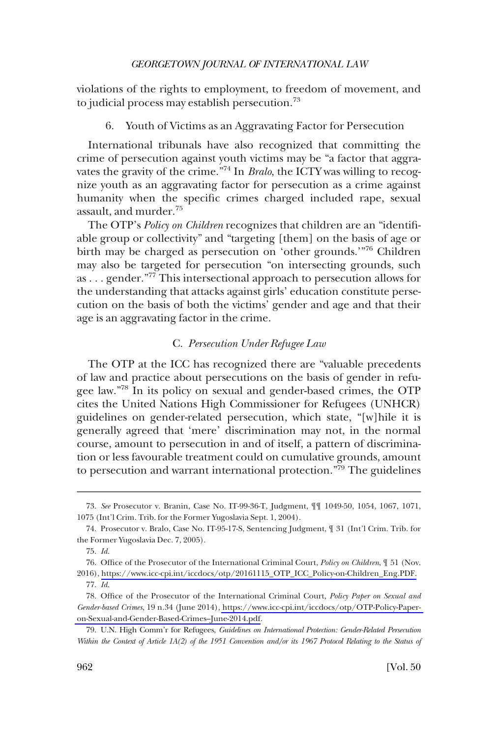<span id="page-15-0"></span>violations of the rights to employment, to freedom of movement, and to judicial process may establish persecution.73

6. Youth of Victims as an Aggravating Factor for Persecution

International tribunals have also recognized that committing the crime of persecution against youth victims may be "a factor that aggravates the gravity of the crime."74 In *Bralo*, the ICTY was willing to recognize youth as an aggravating factor for persecution as a crime against humanity when the specifc crimes charged included rape, sexual assault, and murder.75

The OTP's *Policy on Children* recognizes that children are an "identifable group or collectivity" and "targeting [them] on the basis of age or birth may be charged as persecution on 'other grounds.'"<sup>76</sup> Children may also be targeted for persecution "on intersecting grounds, such as . . . gender."77 This intersectional approach to persecution allows for the understanding that attacks against girls' education constitute persecution on the basis of both the victims' gender and age and that their age is an aggravating factor in the crime.

## C. *Persecution Under Refugee Law*

The OTP at the ICC has recognized there are "valuable precedents of law and practice about persecutions on the basis of gender in refugee law."78 In its policy on sexual and gender-based crimes, the OTP cites the United Nations High Commissioner for Refugees (UNHCR) guidelines on gender-related persecution, which state, "[w]hile it is generally agreed that 'mere' discrimination may not, in the normal course, amount to persecution in and of itself, a pattern of discrimination or less favourable treatment could on cumulative grounds, amount to persecution and warrant international protection."79 The guidelines

<sup>73.</sup> *See* Prosecutor v. Branin, Case No. IT-99-36-T, Judgment, ¶¶ 1049-50, 1054, 1067, 1071, 1075 (Int'l Crim. Trib. for the Former Yugoslavia Sept. 1, 2004).

<sup>74.</sup> Prosecutor v. Bralo, Case No. IT-95-17-S, Sentencing Judgment, ¶ 31 (Int'l Crim. Trib. for the Former Yugoslavia Dec. 7, 2005).

<sup>75.</sup> *Id*.

<sup>76.</sup> Office of the Prosecutor of the International Criminal Court, *Policy on Children*,  $\parallel$  51 (Nov. 2016), [https://www.icc-cpi.int/iccdocs/otp/20161115\\_OTP\\_ICC\\_Policy-on-Children\\_Eng.PDF.](https://www.icc-cpi.int/iccdocs/otp/20161115_OTP_ICC_Policy-on-Children_Eng.PDF) 77. *Id*.

<sup>78.</sup> Office of the Prosecutor of the International Criminal Court, *Policy Paper on Sexual and Gender-based Crimes*, 19 n.34 (June 2014), [https://www.icc-cpi.int/iccdocs/otp/OTP-Policy-Paper](https://www.icc-cpi.int/iccdocs/otp/OTP-Policy-Paper-on-Sexual-and-Gender-Based-Crimes--June-2014.pdf)[on-Sexual-and-Gender-Based-Crimes–June-2014.pdf.](https://www.icc-cpi.int/iccdocs/otp/OTP-Policy-Paper-on-Sexual-and-Gender-Based-Crimes--June-2014.pdf)

<sup>79.</sup> U.N. High Comm'r for Refugees, *Guidelines on International Protection: Gender-Related Persecution Within the Context of Article 1A(2) of the 1951 Convention and/or its 1967 Protocol Relating to the Status of*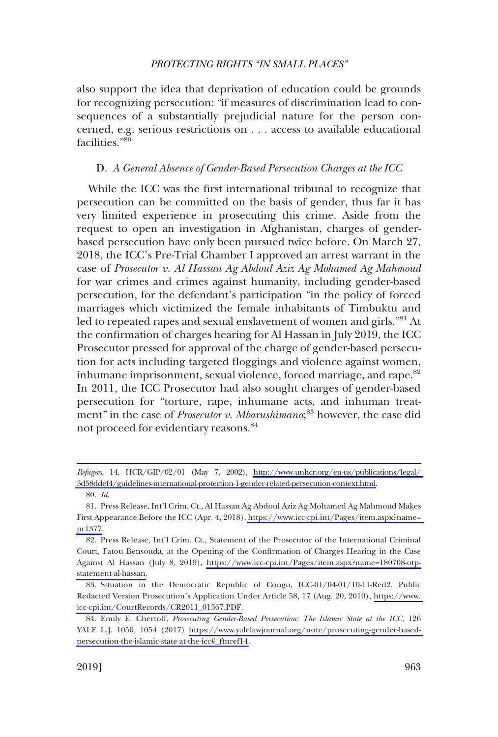<span id="page-16-0"></span>also support the idea that deprivation of education could be grounds for recognizing persecution: "if measures of discrimination lead to consequences of a substantially prejudicial nature for the person concerned, e.g. serious restrictions on . . . access to available educational facilities."<sup>80</sup>

#### D. *A General Absence of Gender-Based Persecution Charges at the ICC*

While the ICC was the frst international tribunal to recognize that persecution can be committed on the basis of gender, thus far it has very limited experience in prosecuting this crime. Aside from the request to open an investigation in Afghanistan, charges of genderbased persecution have only been pursued twice before. On March 27, 2018, the ICC's Pre-Trial Chamber I approved an arrest warrant in the case of *Prosecutor v. Al Hassan Ag Abdoul Aziz Ag Mohamed Ag Mahmoud*  for war crimes and crimes against humanity, including gender-based persecution, for the defendant's participation "in the policy of forced marriages which victimized the female inhabitants of Timbuktu and led to repeated rapes and sexual enslavement of women and girls."81 At the confrmation of charges hearing for Al Hassan in July 2019, the ICC Prosecutor pressed for approval of the charge of gender-based persecution for acts including targeted floggings and violence against women, inhumane imprisonment, sexual violence, forced marriage, and rape.<sup>82</sup> In 2011, the ICC Prosecutor had also sought charges of gender-based persecution for "torture, rape, inhumane acts, and inhuman treatment" in the case of *Prosecutor v. Mbarushimana*; 83 however, the case did not proceed for evidentiary reasons.84

*Refugees*, 14, HCR/GIP/02/01 (May 7, 2002), [http://www.unhcr.org/en-us/publications/legal/](http://www.unhcr.org/en-us/publications/legal/3d58ddef4/guidelines-international-protection-1-gender-related-persecution-context.html)  [3d58ddef4/guidelines-international-protection-1-gender-related-persecution-context.html.](http://www.unhcr.org/en-us/publications/legal/3d58ddef4/guidelines-international-protection-1-gender-related-persecution-context.html) 80. *Id*.

<sup>81.</sup>  Press Release, Int'l Crim. Ct., Al Hassan Ag Abdoul Aziz Ag Mohamed Ag Mahmoud Makes First Appearance Before the ICC (Apr. 4, 2018), [https://www.icc-cpi.int/Pages/item.aspx?name=](https://www.icc-cpi.int/Pages/item.aspx?name=pr1377)  [pr1377.](https://www.icc-cpi.int/Pages/item.aspx?name=pr1377)

<sup>82.</sup> Press Release, Int'l Crim. Ct., Statement of the Prosecutor of the International Criminal Court, Fatou Bensouda, at the Opening of the Confrmation of Charges Hearing in the Case Against Al Hassan (July 8, 2019), [https://www.icc-cpi.int/Pages/item.aspx?name=180708-otp](https://www.icc-cpi.int/Pages/item.aspx?name=180708-otp-statement-al-hassan)[statement-al-hassan.](https://www.icc-cpi.int/Pages/item.aspx?name=180708-otp-statement-al-hassan)

Situation in the Democratic Republic of Congo, ICC-01/04-01/10-11-Red2, Public 83. Redacted Version Prosecution's Application Under Article 58, 17 (Aug. 20, 2010), [https://www.](https://www.icc-cpi.int/CourtRecords/CR2011_01367.PDF)  [icc-cpi.int/CourtRecords/CR2011\\_01367.PDF.](https://www.icc-cpi.int/CourtRecords/CR2011_01367.PDF)

<sup>84.</sup> Emily E. Chertoff, *Prosecuting Gender-Based Persecution: The Islamic State at the ICC*, 126 YALE L.J. 1050, 1054 (2017) [https://www.yalelawjournal.org/note/prosecuting-gender-based](https://www.yalelawjournal.org/note/prosecuting-gender-based-persecution-the-islamic-state-at-the-icc#_ftnref14)[persecution-the-islamic-state-at-the-icc#\\_ftnref14.](https://www.yalelawjournal.org/note/prosecuting-gender-based-persecution-the-islamic-state-at-the-icc#_ftnref14)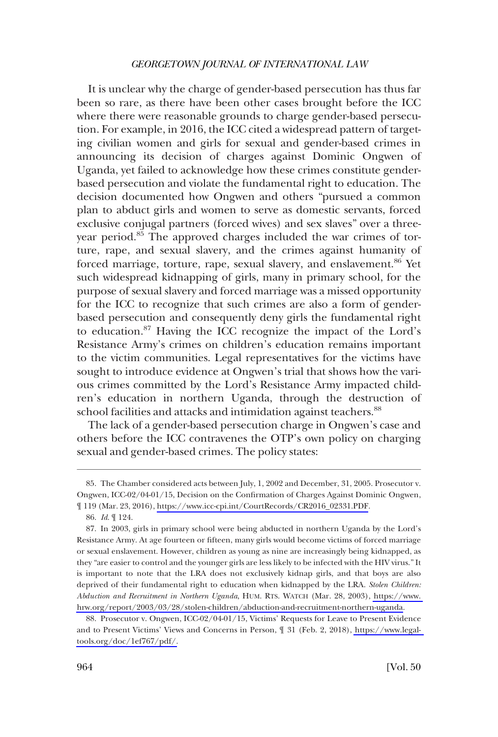It is unclear why the charge of gender-based persecution has thus far been so rare, as there have been other cases brought before the ICC where there were reasonable grounds to charge gender-based persecution. For example, in 2016, the ICC cited a widespread pattern of targeting civilian women and girls for sexual and gender-based crimes in announcing its decision of charges against Dominic Ongwen of Uganda, yet failed to acknowledge how these crimes constitute genderbased persecution and violate the fundamental right to education. The decision documented how Ongwen and others "pursued a common plan to abduct girls and women to serve as domestic servants, forced exclusive conjugal partners (forced wives) and sex slaves" over a threeyear period.<sup>85</sup> The approved charges included the war crimes of torture, rape, and sexual slavery, and the crimes against humanity of forced marriage, torture, rape, sexual slavery, and enslavement.<sup>86</sup> Yet such widespread kidnapping of girls, many in primary school, for the purpose of sexual slavery and forced marriage was a missed opportunity for the ICC to recognize that such crimes are also a form of genderbased persecution and consequently deny girls the fundamental right to education.<sup>87</sup> Having the ICC recognize the impact of the Lord's Resistance Army's crimes on children's education remains important to the victim communities. Legal representatives for the victims have sought to introduce evidence at Ongwen's trial that shows how the various crimes committed by the Lord's Resistance Army impacted children's education in northern Uganda, through the destruction of school facilities and attacks and intimidation against teachers.<sup>88</sup>

The lack of a gender-based persecution charge in Ongwen's case and others before the ICC contravenes the OTP's own policy on charging sexual and gender-based crimes. The policy states:

The Chamber considered acts between July, 1, 2002 and December, 31, 2005. Prosecutor v. 85. Ongwen, ICC-02/04-01/15, Decision on the Confrmation of Charges Against Dominic Ongwen, ¶ 119 (Mar. 23, 2016), [https://www.icc-cpi.int/CourtRecords/CR2016\\_02331.PDF.](https://www.icc-cpi.int/CourtRecords/CR2016_02331.PDF)

<sup>86.</sup> *Id*. ¶ 124.

<sup>87.</sup> In 2003, girls in primary school were being abducted in northern Uganda by the Lord's Resistance Army. At age fourteen or ffteen, many girls would become victims of forced marriage or sexual enslavement. However, children as young as nine are increasingly being kidnapped, as they "are easier to control and the younger girls are less likely to be infected with the HIV virus." It is important to note that the LRA does not exclusively kidnap girls, and that boys are also deprived of their fundamental right to education when kidnapped by the LRA. *Stolen Children: Abduction and Recruitment in Northern Uganda*, HUM. RTS. WATCH (Mar. 28, 2003), [https://www.](https://www.hrw.org/report/2003/03/28/stolen-children/abduction-and-recruitment-northern-uganda)  [hrw.org/report/2003/03/28/stolen-children/abduction-and-recruitment-northern-uganda](https://www.hrw.org/report/2003/03/28/stolen-children/abduction-and-recruitment-northern-uganda).

<sup>88.</sup> Prosecutor v. Ongwen, ICC-02/04-01/15, Victims' Requests for Leave to Present Evidence and to Present Victims' Views and Concerns in Person, ¶ 31 (Feb. 2, 2018), [https://www.legal](https://www.legal-tools.org/doc/1ef767/pdf/)[tools.org/doc/1ef767/pdf/.](https://www.legal-tools.org/doc/1ef767/pdf/)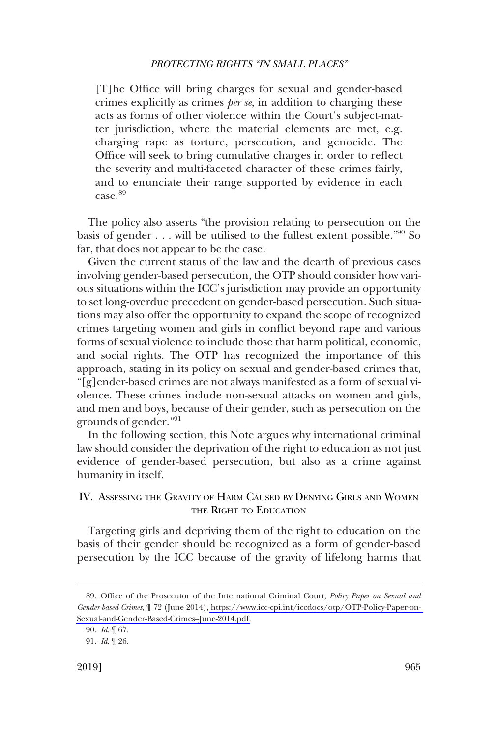<span id="page-18-0"></span>[T]he Offce will bring charges for sexual and gender-based crimes explicitly as crimes *per se*, in addition to charging these acts as forms of other violence within the Court's subject-matter jurisdiction, where the material elements are met, e.g. charging rape as torture, persecution, and genocide. The Office will seek to bring cumulative charges in order to reflect the severity and multi-faceted character of these crimes fairly, and to enunciate their range supported by evidence in each case.<sup>89</sup>

The policy also asserts "the provision relating to persecution on the basis of gender  $\dots$  will be utilised to the fullest extent possible.<sup>"90</sup> So far, that does not appear to be the case.

Given the current status of the law and the dearth of previous cases involving gender-based persecution, the OTP should consider how various situations within the ICC's jurisdiction may provide an opportunity to set long-overdue precedent on gender-based persecution. Such situations may also offer the opportunity to expand the scope of recognized crimes targeting women and girls in confict beyond rape and various forms of sexual violence to include those that harm political, economic, and social rights. The OTP has recognized the importance of this approach, stating in its policy on sexual and gender-based crimes that, "[g]ender-based crimes are not always manifested as a form of sexual violence. These crimes include non-sexual attacks on women and girls, and men and boys, because of their gender, such as persecution on the grounds of gender."<sup>91</sup>

In the following section, this Note argues why international criminal law should consider the deprivation of the right to education as not just evidence of gender-based persecution, but also as a crime against humanity in itself.

## IV. ASSESSING THE GRAVITY OF HARM CAUSED BY DENYING GIRLS AND WOMEN THE RIGHT TO EDUCATION

Targeting girls and depriving them of the right to education on the basis of their gender should be recognized as a form of gender-based persecution by the ICC because of the gravity of lifelong harms that

<sup>89.</sup> Office of the Prosecutor of the International Criminal Court, *Policy Paper on Sexual and Gender-based Crimes*, ¶ 72 (June 2014), [https://www.icc-cpi.int/iccdocs/otp/OTP-Policy-Paper-on-](https://www.icc-cpi.int/iccdocs/otp/OTP-Policy-Paper-on-Sexual-and-Gender-Based-Crimes--June-2014.pdf)[Sexual-and-Gender-Based-Crimes–June-2014.pdf.](https://www.icc-cpi.int/iccdocs/otp/OTP-Policy-Paper-on-Sexual-and-Gender-Based-Crimes--June-2014.pdf)

<sup>90.</sup> *Id*. ¶ 67.

<sup>91.</sup> *Id*. ¶ 26.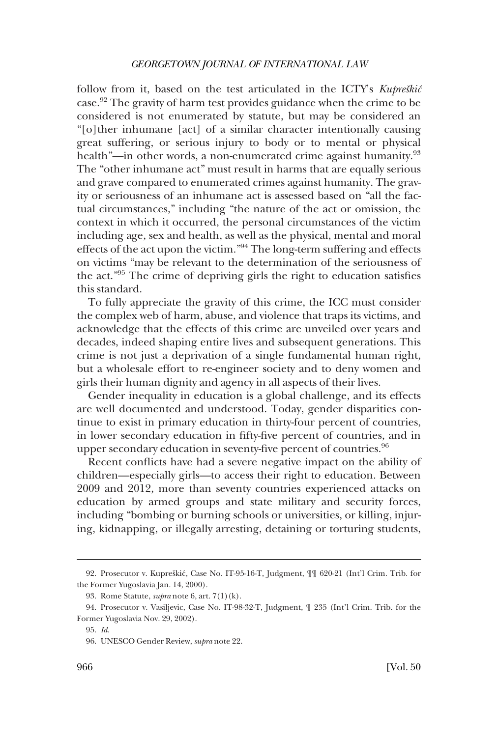follow from it, based on the test articulated in the ICTY's *Kupreškić* case.92 The gravity of harm test provides guidance when the crime to be considered is not enumerated by statute, but may be considered an "[o]ther inhumane [act] of a similar character intentionally causing great suffering, or serious injury to body or to mental or physical health"—in other words, a non-enumerated crime against humanity.<sup>93</sup> The "other inhumane act" must result in harms that are equally serious and grave compared to enumerated crimes against humanity. The gravity or seriousness of an inhumane act is assessed based on "all the factual circumstances," including "the nature of the act or omission, the context in which it occurred, the personal circumstances of the victim including age, sex and health, as well as the physical, mental and moral effects of the act upon the victim."94 The long-term suffering and effects on victims "may be relevant to the determination of the seriousness of the act."95 The crime of depriving girls the right to education satisfes this standard.

To fully appreciate the gravity of this crime, the ICC must consider the complex web of harm, abuse, and violence that traps its victims, and acknowledge that the effects of this crime are unveiled over years and decades, indeed shaping entire lives and subsequent generations. This crime is not just a deprivation of a single fundamental human right, but a wholesale effort to re-engineer society and to deny women and girls their human dignity and agency in all aspects of their lives.

Gender inequality in education is a global challenge, and its effects are well documented and understood. Today, gender disparities continue to exist in primary education in thirty-four percent of countries, in lower secondary education in ffty-fve percent of countries, and in upper secondary education in seventy-five percent of countries.<sup>96</sup>

Recent conficts have had a severe negative impact on the ability of children—especially girls—to access their right to education. Between 2009 and 2012, more than seventy countries experienced attacks on education by armed groups and state military and security forces, including "bombing or burning schools or universities, or killing, injuring, kidnapping, or illegally arresting, detaining or torturing students,

<sup>92.</sup> Prosecutor v. Kupreškić, Case No. IT-95-16-T, Judgment,  $\P\P$  620-21 (Int'l Crim. Trib. for the Former Yugoslavia Jan. 14, 2000).

<sup>93.</sup> Rome Statute, *supra* note 6, art. 7(1)(k).

<sup>94.</sup> Prosecutor v. Vasiljevic, Case No. IT-98-32-T, Judgment, ¶ 235 (Int'l Crim. Trib. for the Former Yugoslavia Nov. 29, 2002).

<sup>95.</sup> *Id*.

<sup>96.</sup> UNESCO Gender Review, *supra* note 22.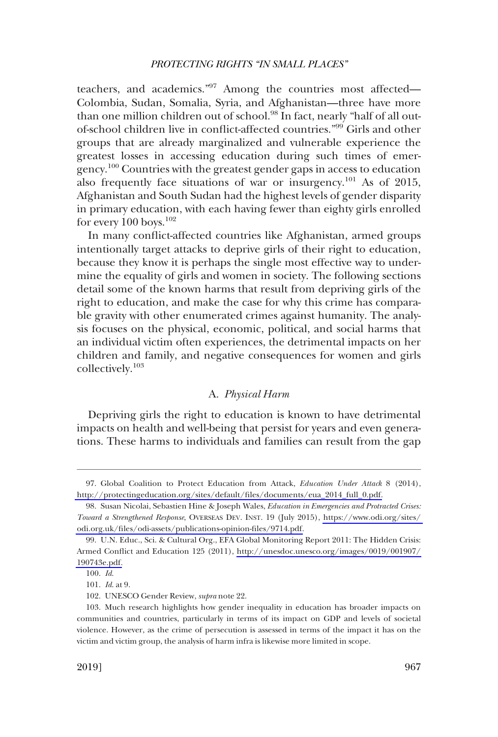<span id="page-20-0"></span>teachers, and academics."<sup>97</sup> Among the countries most affected— Colombia, Sudan, Somalia, Syria, and Afghanistan—three have more than one million children out of school.<sup>98</sup> In fact, nearly "half of all outof-school children live in confict-affected countries."<sup>99</sup> Girls and other groups that are already marginalized and vulnerable experience the greatest losses in accessing education during such times of emergency.100 Countries with the greatest gender gaps in access to education also frequently face situations of war or insurgency.<sup>101</sup> As of 2015, Afghanistan and South Sudan had the highest levels of gender disparity in primary education, with each having fewer than eighty girls enrolled for every  $100$  boys.<sup>102</sup>

In many confict-affected countries like Afghanistan, armed groups intentionally target attacks to deprive girls of their right to education, because they know it is perhaps the single most effective way to undermine the equality of girls and women in society. The following sections detail some of the known harms that result from depriving girls of the right to education, and make the case for why this crime has comparable gravity with other enumerated crimes against humanity. The analysis focuses on the physical, economic, political, and social harms that an individual victim often experiences, the detrimental impacts on her children and family, and negative consequences for women and girls collectively.<sup>103</sup>

### A. *Physical Harm*

Depriving girls the right to education is known to have detrimental impacts on health and well-being that persist for years and even generations. These harms to individuals and families can result from the gap

<sup>97.</sup> Global Coalition to Protect Education from Attack, *Education Under Attack* 8 (2014), [http://protectingeducation.org/sites/default/fles/documents/eua\\_2014\\_full\\_0.pdf.](http://protectingeducation.org/sites/default/files/documents/eua_2014_full_0.pdf)

<sup>98.</sup> Susan Nicolai, Sebastien Hine & Joseph Wales, *Education in Emergencies and Protracted Crises*: *Toward a Strengthened Response*, OVERSEAS DEV. INST. 19 (July 2015), [https://www.odi.org/sites/](https://www.odi.org/sites/odi.org.uk/files/odi-assets/publications-opinion-files/9714.pdf)  [odi.org.uk/fles/odi-assets/publications-opinion-fles/9714.pdf.](https://www.odi.org/sites/odi.org.uk/files/odi-assets/publications-opinion-files/9714.pdf)

U.N. Educ., Sci. & Cultural Org., EFA Global Monitoring Report 2011: The Hidden Crisis: 99. Armed Confict and Education 125 (2011), [http://unesdoc.unesco.org/images/0019/001907/](http://unesdoc.unesco.org/images/0019/001907/190743e.pdf) [190743e.pdf.](http://unesdoc.unesco.org/images/0019/001907/190743e.pdf)

<sup>100.</sup> *Id*.

<sup>101.</sup> *Id*. at 9.

<sup>102.</sup> UNESCO Gender Review, *supra* note 22.

<sup>103.</sup> Much research highlights how gender inequality in education has broader impacts on communities and countries, particularly in terms of its impact on GDP and levels of societal violence. However, as the crime of persecution is assessed in terms of the impact it has on the victim and victim group, the analysis of harm infra is likewise more limited in scope.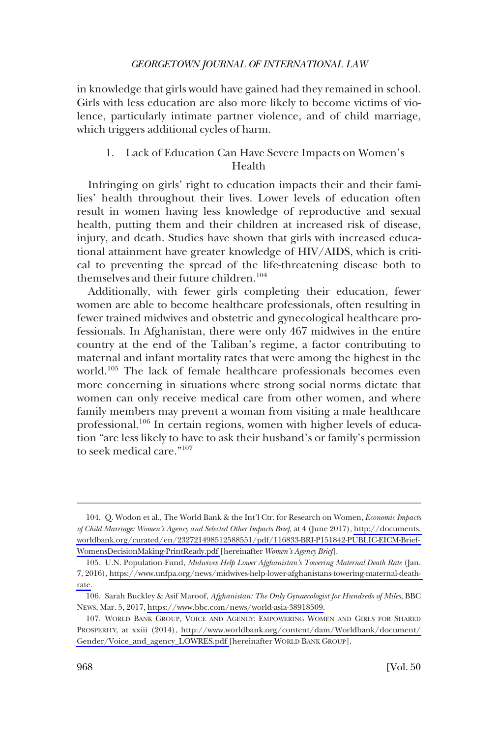<span id="page-21-0"></span>in knowledge that girls would have gained had they remained in school. Girls with less education are also more likely to become victims of violence, particularly intimate partner violence, and of child marriage, which triggers additional cycles of harm.

## 1. Lack of Education Can Have Severe Impacts on Women's Health

Infringing on girls' right to education impacts their and their families' health throughout their lives. Lower levels of education often result in women having less knowledge of reproductive and sexual health, putting them and their children at increased risk of disease, injury, and death. Studies have shown that girls with increased educational attainment have greater knowledge of HIV/AIDS, which is critical to preventing the spread of the life-threatening disease both to themselves and their future children.<sup>104</sup>

Additionally, with fewer girls completing their education, fewer women are able to become healthcare professionals, often resulting in fewer trained midwives and obstetric and gynecological healthcare professionals. In Afghanistan, there were only 467 midwives in the entire country at the end of the Taliban's regime, a factor contributing to maternal and infant mortality rates that were among the highest in the world.105 The lack of female healthcare professionals becomes even more concerning in situations where strong social norms dictate that women can only receive medical care from other women, and where family members may prevent a woman from visiting a male healthcare professional.<sup>106</sup> In certain regions, women with higher levels of education "are less likely to have to ask their husband's or family's permission to seek medical care."107

Q. Wodon et al., The World Bank & the Int'l Ctr. for Research on Women, *Economic Impacts*  104. *of Child Marriage: Women's Agency and Selected Other Impacts Brief*, at 4 (June 2017), [http://documents.](http://documents.worldbank.org/curated/en/232721498512588551/pdf/116833-BRI-P151842-PUBLIC-EICM-Brief-WomensDecisionMaking-PrintReady.pdf)  [worldbank.org/curated/en/232721498512588551/pdf/116833-BRI-P151842-PUBLIC-EICM-Brief-](http://documents.worldbank.org/curated/en/232721498512588551/pdf/116833-BRI-P151842-PUBLIC-EICM-Brief-WomensDecisionMaking-PrintReady.pdf)[WomensDecisionMaking-PrintReady.pdf \[](http://documents.worldbank.org/curated/en/232721498512588551/pdf/116833-BRI-P151842-PUBLIC-EICM-Brief-WomensDecisionMaking-PrintReady.pdf)hereinafter *Women's Agency Brief*].

<sup>105.</sup> U.N. Population Fund, *Midwives Help Lower Afghanistan's Towering Maternal Death Rate* (Jan. 7, 2016), [https://www.unfpa.org/news/midwives-help-lower-afghanistans-towering-maternal-death](https://www.unfpa.org/news/midwives-help-lower-afghanistans-towering-maternal-death-rate)[rate.](https://www.unfpa.org/news/midwives-help-lower-afghanistans-towering-maternal-death-rate)

<sup>106.</sup> Sarah Buckley & Asif Maroof, *Afghanistan: The Only Gynaecologist for Hundreds of Miles*, BBC NEWS, Mar. 5, 2017, [https://www.bbc.com/news/world-asia-38918509.](https://www.bbc.com/news/world-asia-38918509)

<sup>107.</sup> WORLD BANK GROUP, VOICE AND AGENCY: EMPOWERING WOMEN AND GIRLS FOR SHARED PROSPERITY, at xxiii (2014), [http://www.worldbank.org/content/dam/Worldbank/document/](http://www.worldbank.org/content/dam/Worldbank/document/Gender/Voice_and_agency_LOWRES.pdf) [Gender/Voice\\_and\\_agency\\_LOWRES.pdf \[](http://www.worldbank.org/content/dam/Worldbank/document/Gender/Voice_and_agency_LOWRES.pdf)hereinafter WORLD BANK GROUP].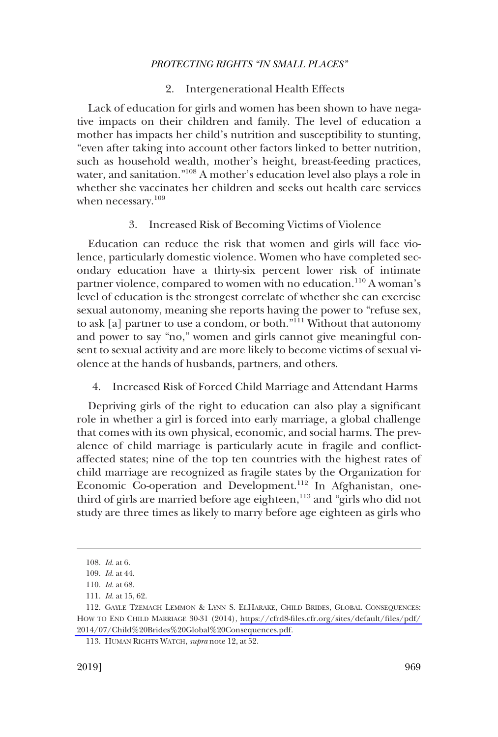### 2. Intergenerational Health Effects

<span id="page-22-0"></span>Lack of education for girls and women has been shown to have negative impacts on their children and family. The level of education a mother has impacts her child's nutrition and susceptibility to stunting, "even after taking into account other factors linked to better nutrition, such as household wealth, mother's height, breast-feeding practices, water, and sanitation."108 A mother's education level also plays a role in whether she vaccinates her children and seeks out health care services when necessary.<sup>109</sup>

### 3. Increased Risk of Becoming Victims of Violence

Education can reduce the risk that women and girls will face violence, particularly domestic violence. Women who have completed secondary education have a thirty-six percent lower risk of intimate partner violence, compared to women with no education.<sup>110</sup> A woman's level of education is the strongest correlate of whether she can exercise sexual autonomy, meaning she reports having the power to "refuse sex, to ask [a] partner to use a condom, or both."111 Without that autonomy and power to say "no," women and girls cannot give meaningful consent to sexual activity and are more likely to become victims of sexual violence at the hands of husbands, partners, and others.

### 4. Increased Risk of Forced Child Marriage and Attendant Harms

Depriving girls of the right to education can also play a signifcant role in whether a girl is forced into early marriage, a global challenge that comes with its own physical, economic, and social harms. The prevalence of child marriage is particularly acute in fragile and confictaffected states; nine of the top ten countries with the highest rates of child marriage are recognized as fragile states by the Organization for Economic Co-operation and Development.<sup>112</sup> In Afghanistan, onethird of girls are married before age eighteen,<sup>113</sup> and "girls who did not study are three times as likely to marry before age eighteen as girls who

<sup>108.</sup> *Id*. at 6.

<sup>109.</sup> *Id*. at 44.

<sup>110.</sup> *Id*. at 68.

<sup>111.</sup> *Id*. at 15, 62.

<sup>112.</sup> GAYLE TZEMACH LEMMON & LYNN S. ELHARAKE, CHILD BRIDES, GLOBAL CONSEQUENCES: HOW TO END CHILD MARRIAGE 30-31 (2014), [https://cfrd8-fles.cfr.org/sites/default/fles/pdf/](https://cfrd8-files.cfr.org/sites/default/files/pdf/2014/07/Child%20Brides%20Global%20Consequences.pdf)  [2014/07/Child%20Brides%20Global%20Consequences.pdf](https://cfrd8-files.cfr.org/sites/default/files/pdf/2014/07/Child%20Brides%20Global%20Consequences.pdf).

<sup>113.</sup> HUMAN RIGHTS WATCH, *supra* note 12, at 52.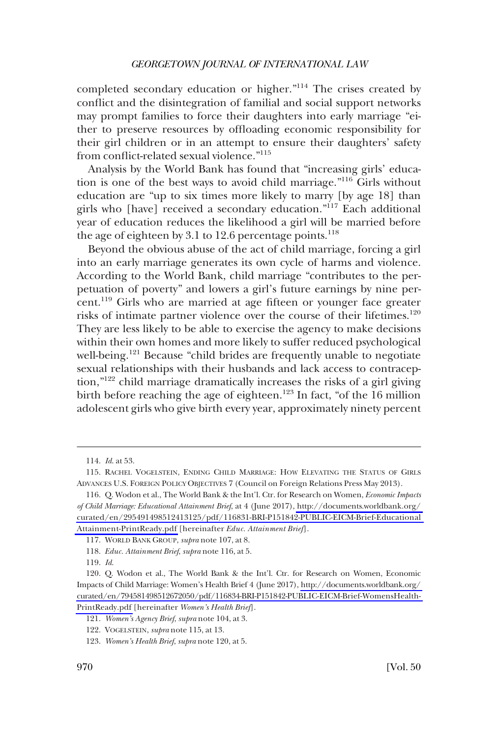completed secondary education or higher."114 The crises created by confict and the disintegration of familial and social support networks may prompt families to force their daughters into early marriage "either to preserve resources by offoading economic responsibility for their girl children or in an attempt to ensure their daughters' safety from confict-related sexual violence."115

Analysis by the World Bank has found that "increasing girls' education is one of the best ways to avoid child marriage."116 Girls without education are "up to six times more likely to marry [by age 18] than girls who [have] received a secondary education."117 Each additional year of education reduces the likelihood a girl will be married before the age of eighteen by 3.1 to 12.6 percentage points. $118$ 

Beyond the obvious abuse of the act of child marriage, forcing a girl into an early marriage generates its own cycle of harms and violence. According to the World Bank, child marriage "contributes to the perpetuation of poverty" and lowers a girl's future earnings by nine percent.119 Girls who are married at age ffteen or younger face greater risks of intimate partner violence over the course of their lifetimes.<sup>120</sup> They are less likely to be able to exercise the agency to make decisions within their own homes and more likely to suffer reduced psychological well-being.<sup>121</sup> Because "child brides are frequently unable to negotiate sexual relationships with their husbands and lack access to contraception,"122 child marriage dramatically increases the risks of a girl giving birth before reaching the age of eighteen.<sup>123</sup> In fact, "of the 16 million adolescent girls who give birth every year, approximately ninety percent

<sup>114.</sup> *Id*. at 53.

<sup>115.</sup> RACHEL VOGELSTEIN, ENDING CHILD MARRIAGE: HOW ELEVATING THE STATUS OF GIRLS ADVANCES U.S. FOREIGN POLICY OBJECTIVES 7 (Council on Foreign Relations Press May 2013).

 <sup>116.</sup> Q. Wodon et al., The World Bank & the Int'l. Ctr. for Research on Women, *Economic Impacts of Child Marriage: Educational Attainment Brief*, at 4 (June 2017), [http://documents.worldbank.org/](http://documents.worldbank.org/curated/en/295491498512413125/pdf/116831-BRI-P151842-PUBLIC-EICM-Brief-EducationalAttainment-PrintReady.pdf)  [curated/en/295491498512413125/pdf/116831-BRI-P151842-PUBLIC-EICM-Brief-Educational](http://documents.worldbank.org/curated/en/295491498512413125/pdf/116831-BRI-P151842-PUBLIC-EICM-Brief-EducationalAttainment-PrintReady.pdf)  [Attainment-PrintReady.pdf](http://documents.worldbank.org/curated/en/295491498512413125/pdf/116831-BRI-P151842-PUBLIC-EICM-Brief-EducationalAttainment-PrintReady.pdf) [hereinafter *Educ. Attainment Brief*].

<sup>117.</sup> WORLD BANK GROUP, *supra* note 107, at 8.

<sup>118.</sup> *Educ. Attainment Brief*, *supra* note 116, at 5.

<sup>119.</sup> *Id*.

 <sup>120.</sup> Q. Wodon et al., The World Bank & the Int'l. Ctr. for Research on Women, Economic Impacts of Child Marriage: Women's Health Brief 4 (June 2017), [http://documents.worldbank.org/](http://documents.worldbank.org/curated/en/794581498512672050/pdf/116834-BRI-P151842-PUBLIC-EICM-Brief-WomensHealth-PrintReady.pdf)  [curated/en/794581498512672050/pdf/116834-BRI-P151842-PUBLIC-EICM-Brief-WomensHealth-](http://documents.worldbank.org/curated/en/794581498512672050/pdf/116834-BRI-P151842-PUBLIC-EICM-Brief-WomensHealth-PrintReady.pdf)[PrintReady.pdf](http://documents.worldbank.org/curated/en/794581498512672050/pdf/116834-BRI-P151842-PUBLIC-EICM-Brief-WomensHealth-PrintReady.pdf) [hereinafter *Women's Health Brief*].

<sup>121.</sup> *Women's Agency Brief*, *supra* note 104, at 3.

<sup>122.</sup> VOGELSTEIN, *supra* note 115, at 13.

<sup>123.</sup> *Women's Health Brief*, *supra* note 120, at 5.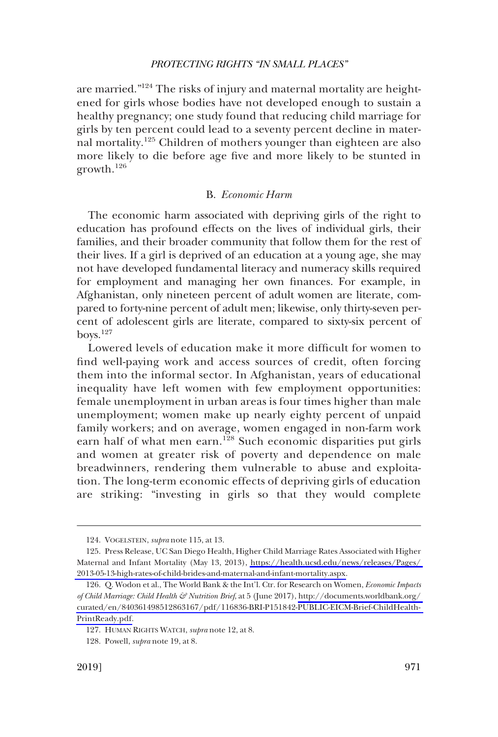<span id="page-24-0"></span>are married."124 The risks of injury and maternal mortality are heightened for girls whose bodies have not developed enough to sustain a healthy pregnancy; one study found that reducing child marriage for girls by ten percent could lead to a seventy percent decline in maternal mortality.<sup>125</sup> Children of mothers younger than eighteen are also more likely to die before age fve and more likely to be stunted in growth.<sup>126</sup>

### B. *Economic Harm*

The economic harm associated with depriving girls of the right to education has profound effects on the lives of individual girls, their families, and their broader community that follow them for the rest of their lives. If a girl is deprived of an education at a young age, she may not have developed fundamental literacy and numeracy skills required for employment and managing her own fnances. For example, in Afghanistan, only nineteen percent of adult women are literate, compared to forty-nine percent of adult men; likewise, only thirty-seven percent of adolescent girls are literate, compared to sixty-six percent of boys.127

Lowered levels of education make it more difficult for women to fnd well-paying work and access sources of credit, often forcing them into the informal sector. In Afghanistan, years of educational inequality have left women with few employment opportunities: female unemployment in urban areas is four times higher than male unemployment; women make up nearly eighty percent of unpaid family workers; and on average, women engaged in non-farm work earn half of what men earn.<sup>128</sup> Such economic disparities put girls and women at greater risk of poverty and dependence on male breadwinners, rendering them vulnerable to abuse and exploitation. The long-term economic effects of depriving girls of education are striking: "investing in girls so that they would complete

<sup>124.</sup> VOGELSTEIN, *supra* note 115, at 13.

<sup>125.</sup> Press Release, UC San Diego Health, Higher Child Marriage Rates Associated with Higher Maternal and Infant Mortality (May 13, 2013), [https://health.ucsd.edu/news/releases/Pages/](https://health.ucsd.edu/news/releases/Pages/2013-05-13-high-rates-of-child-brides-and-maternal-and-infant-mortality.aspx)  [2013-05-13-high-rates-of-child-brides-and-maternal-and-infant-mortality.aspx.](https://health.ucsd.edu/news/releases/Pages/2013-05-13-high-rates-of-child-brides-and-maternal-and-infant-mortality.aspx)

<sup>126.</sup> Q. Wodon et al., The World Bank & the Int'l. Ctr. for Research on Women, *Economic Impacts of Child Marriage: Child Health & Nutrition Brief*, at 5 (June 2017), [http://documents.worldbank.org/](http://documents.worldbank.org/curated/en/840361498512863167/pdf/116836-BRI-P151842-PUBLIC-EICM-Brief-ChildHealth-PrintReady.pdf)  [curated/en/840361498512863167/pdf/116836-BRI-P151842-PUBLIC-EICM-Brief-ChildHealth-](http://documents.worldbank.org/curated/en/840361498512863167/pdf/116836-BRI-P151842-PUBLIC-EICM-Brief-ChildHealth-PrintReady.pdf)[PrintReady.pdf.](http://documents.worldbank.org/curated/en/840361498512863167/pdf/116836-BRI-P151842-PUBLIC-EICM-Brief-ChildHealth-PrintReady.pdf)

<sup>127.</sup> HUMAN RIGHTS WATCH, *supra* note 12, at 8.

<sup>128.</sup> Powell, *supra* note 19, at 8.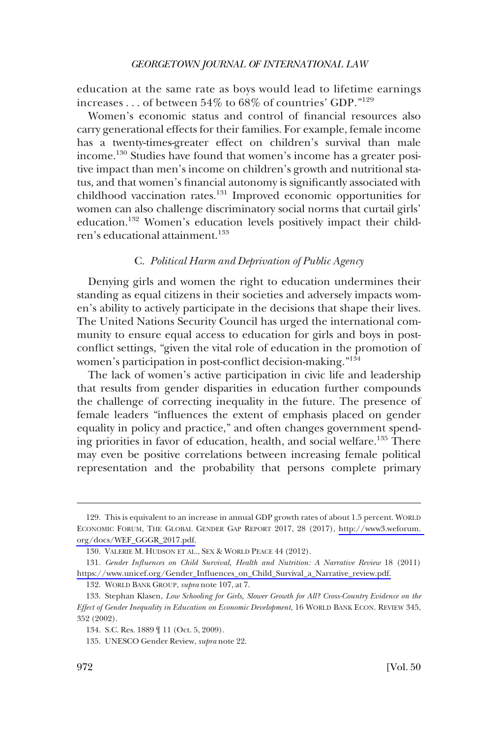<span id="page-25-0"></span>education at the same rate as boys would lead to lifetime earnings increases . . . of between  $54\%$  to  $68\%$  of countries' GDP."<sup>129</sup>

Women's economic status and control of fnancial resources also carry generational effects for their families. For example, female income has a twenty-times-greater effect on children's survival than male income.130 Studies have found that women's income has a greater positive impact than men's income on children's growth and nutritional status, and that women's fnancial autonomy is signifcantly associated with childhood vaccination rates.<sup>131</sup> Improved economic opportunities for women can also challenge discriminatory social norms that curtail girls' education.132 Women's education levels positively impact their children's educational attainment.<sup>133</sup>

### C. *Political Harm and Deprivation of Public Agency*

Denying girls and women the right to education undermines their standing as equal citizens in their societies and adversely impacts women's ability to actively participate in the decisions that shape their lives. The United Nations Security Council has urged the international community to ensure equal access to education for girls and boys in postconfict settings, "given the vital role of education in the promotion of women's participation in post-confict decision-making."134

The lack of women's active participation in civic life and leadership that results from gender disparities in education further compounds the challenge of correcting inequality in the future. The presence of female leaders "infuences the extent of emphasis placed on gender equality in policy and practice," and often changes government spending priorities in favor of education, health, and social welfare.135 There may even be positive correlations between increasing female political representation and the probability that persons complete primary

<sup>129.</sup> This is equivalent to an increase in annual GDP growth rates of about 1.5 percent. WORLD ECONOMIC FORUM, THE GLOBAL GENDER GAP REPORT 2017, 28 (2017), [http://www3.weforum.](http://www3.weforum.org/docs/WEF_GGGR_2017.pdf)  [org/docs/WEF\\_GGGR\\_2017.pdf.](http://www3.weforum.org/docs/WEF_GGGR_2017.pdf)

<sup>130.</sup> VALERIE M. HUDSON ET AL., SEX & WORLD PEACE 44 (2012).

*Gender Infuences on Child Survival, Health and Nutrition: A Narrative Review* 18 (2011) 131. [https://www.unicef.org/Gender\\_Infuences\\_on\\_Child\\_Survival\\_a\\_Narrative\\_review.pdf.](https://www.unicef.org/Gender_Influences_on_Child_Survival_a_Narrative_review.pdf)

<sup>132.</sup> WORLD BANK GROUP, *supra* note 107, at 7.

<sup>133.</sup> Stephan Klasen, *Low Schooling for Girls, Slower Growth for All? Cross-Country Evidence on the Effect of Gender Inequality in Education on Economic Development*, 16 WORLD BANK ECON. REVIEW 345, 352 (2002).

<sup>134.</sup> S.C. Res. 1889 ¶ 11 (Oct. 5, 2009).

<sup>135.</sup> UNESCO Gender Review, *supra* note 22.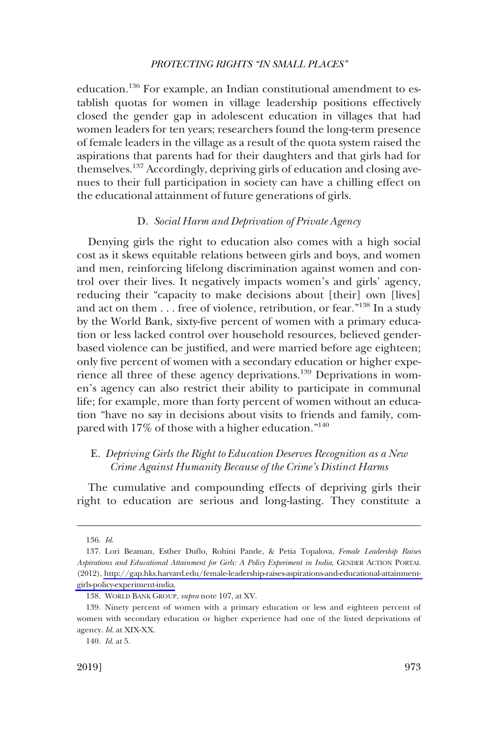<span id="page-26-0"></span>education.136 For example, an Indian constitutional amendment to establish quotas for women in village leadership positions effectively closed the gender gap in adolescent education in villages that had women leaders for ten years; researchers found the long-term presence of female leaders in the village as a result of the quota system raised the aspirations that parents had for their daughters and that girls had for themselves.<sup>137</sup> Accordingly, depriving girls of education and closing avenues to their full participation in society can have a chilling effect on the educational attainment of future generations of girls.

### D. *Social Harm and Deprivation of Private Agency*

Denying girls the right to education also comes with a high social cost as it skews equitable relations between girls and boys, and women and men, reinforcing lifelong discrimination against women and control over their lives. It negatively impacts women's and girls' agency, reducing their "capacity to make decisions about [their] own [lives] and act on them . . . free of violence, retribution, or fear."<sup>138</sup> In a study by the World Bank, sixty-fve percent of women with a primary education or less lacked control over household resources, believed genderbased violence can be justifed, and were married before age eighteen; only fve percent of women with a secondary education or higher experience all three of these agency deprivations.<sup>139</sup> Deprivations in women's agency can also restrict their ability to participate in communal life; for example, more than forty percent of women without an education "have no say in decisions about visits to friends and family, compared with 17% of those with a higher education."140

## E. *Depriving Girls the Right to Education Deserves Recognition as a New Crime Against Humanity Because of the Crime's Distinct Harms*

The cumulative and compounding effects of depriving girls their right to education are serious and long-lasting. They constitute a

<sup>136.</sup> *Id*.

Lori Beaman, Esther Dufo, Rohini Pande, & Petia Topalova, *Female Leadership Raises*  137. *Aspirations and Educational Attainment for Girls: A Policy Experiment in India*, GENDER ACTION PORTAL (2012), [http://gap.hks.harvard.edu/female-leadership-raises-aspirations-and-educational-attainment](http://gap.hks.harvard.edu/female-leadership-raises-aspirations-and-educational-attainment-girls-policy-experiment-india)[girls-policy-experiment-india.](http://gap.hks.harvard.edu/female-leadership-raises-aspirations-and-educational-attainment-girls-policy-experiment-india)

<sup>138.</sup> WORLD BANK GROUP, *supra* note 107, at XV.

<sup>139.</sup> Ninety percent of women with a primary education or less and eighteen percent of women with secondary education or higher experience had one of the listed deprivations of agency. *Id*. at XIX-XX.

<sup>140.</sup> *Id*. at 5.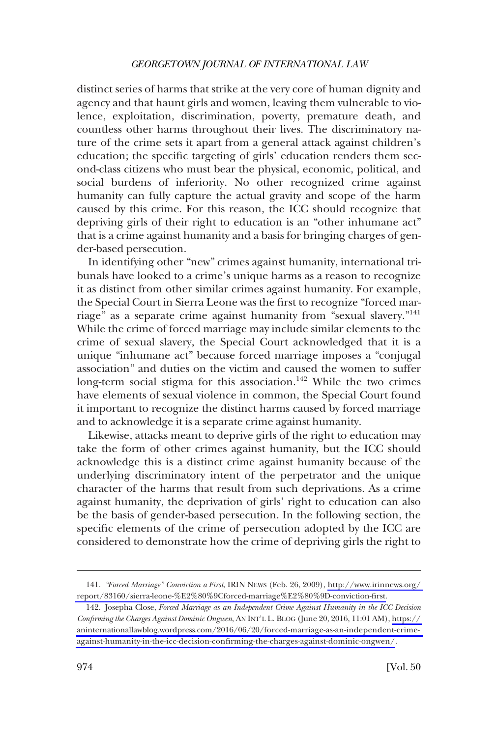distinct series of harms that strike at the very core of human dignity and agency and that haunt girls and women, leaving them vulnerable to violence, exploitation, discrimination, poverty, premature death, and countless other harms throughout their lives. The discriminatory nature of the crime sets it apart from a general attack against children's education; the specifc targeting of girls' education renders them second-class citizens who must bear the physical, economic, political, and social burdens of inferiority. No other recognized crime against humanity can fully capture the actual gravity and scope of the harm caused by this crime. For this reason, the ICC should recognize that depriving girls of their right to education is an "other inhumane act" that is a crime against humanity and a basis for bringing charges of gender-based persecution.

In identifying other "new" crimes against humanity, international tribunals have looked to a crime's unique harms as a reason to recognize it as distinct from other similar crimes against humanity. For example, the Special Court in Sierra Leone was the frst to recognize "forced marriage" as a separate crime against humanity from "sexual slavery."141 While the crime of forced marriage may include similar elements to the crime of sexual slavery, the Special Court acknowledged that it is a unique "inhumane act" because forced marriage imposes a "conjugal association" and duties on the victim and caused the women to suffer long-term social stigma for this association.<sup>142</sup> While the two crimes have elements of sexual violence in common, the Special Court found it important to recognize the distinct harms caused by forced marriage and to acknowledge it is a separate crime against humanity.

Likewise, attacks meant to deprive girls of the right to education may take the form of other crimes against humanity, but the ICC should acknowledge this is a distinct crime against humanity because of the underlying discriminatory intent of the perpetrator and the unique character of the harms that result from such deprivations. As a crime against humanity, the deprivation of girls' right to education can also be the basis of gender-based persecution. In the following section, the specifc elements of the crime of persecution adopted by the ICC are considered to demonstrate how the crime of depriving girls the right to

*<sup>&</sup>quot;Forced Marriage" Conviction a First*, IRIN NEWS (Feb. 26, 2009), [http://www.irinnews.org/](http://www.irinnews.org/report/83160/sierra-leone-&hx0025;E2&hx0025;80&hx0025;9Cforced-marriage&hx0025;E2&hx0025;80&hx0025;9D-conviction-first)  141. [report/83160/sierra-leone-%E2%80%9Cforced-marriage%E2%80%9D-conviction-frst.](http://www.irinnews.org/report/83160/sierra-leone-&hx0025;E2&hx0025;80&hx0025;9Cforced-marriage&hx0025;E2&hx0025;80&hx0025;9D-conviction-first)

Josepha Close, *Forced Marriage as an Independent Crime Against Humanity in the ICC Decision*  142. *Confrming the Charges Against Dominic Ongwen*, AN INT'L L. BLOG (June 20, 2016, 11:01 AM), [https://](https://aninternationallawblog.wordpress.com/2016/06/20/forced-marriage-as-an-independent-crime-against-humanity-in-the-icc-decision-confirming-the-charges-against-dominic-ongwen/)  [aninternationallawblog.wordpress.com/2016/06/20/forced-marriage-as-an-independent-crime](https://aninternationallawblog.wordpress.com/2016/06/20/forced-marriage-as-an-independent-crime-against-humanity-in-the-icc-decision-confirming-the-charges-against-dominic-ongwen/)[against-humanity-in-the-icc-decision-confrming-the-charges-against-dominic-ongwen/.](https://aninternationallawblog.wordpress.com/2016/06/20/forced-marriage-as-an-independent-crime-against-humanity-in-the-icc-decision-confirming-the-charges-against-dominic-ongwen/)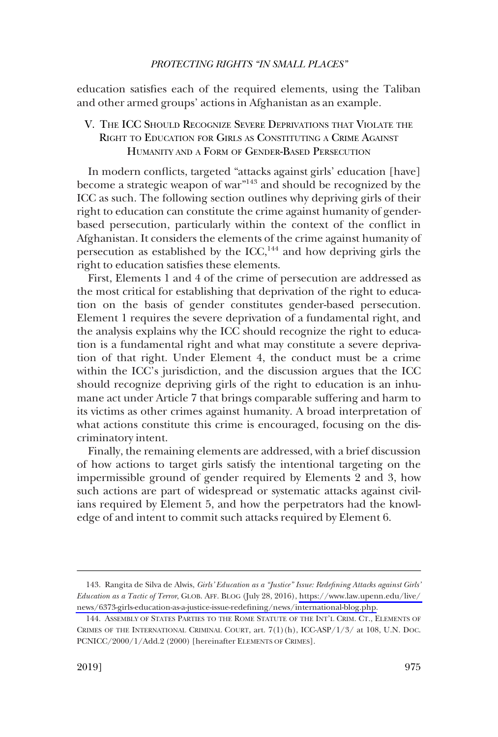<span id="page-28-0"></span>education satisfes each of the required elements, using the Taliban and other armed groups' actions in Afghanistan as an example.

## V. THE ICC SHOULD RECOGNIZE SEVERE DEPRIVATIONS THAT VIOLATE THE RIGHT TO EDUCATION FOR GIRLS AS CONSTITUTING A CRIME AGAINST HUMANITY AND A FORM OF GENDER-BASED PERSECUTION

In modern conficts, targeted "attacks against girls' education [have] become a strategic weapon of war"143 and should be recognized by the ICC as such. The following section outlines why depriving girls of their right to education can constitute the crime against humanity of genderbased persecution, particularly within the context of the confict in Afghanistan. It considers the elements of the crime against humanity of persecution as established by the  $ICC<sub>144</sub>$  and how depriving girls the right to education satisfes these elements.

First, Elements 1 and 4 of the crime of persecution are addressed as the most critical for establishing that deprivation of the right to education on the basis of gender constitutes gender-based persecution. Element 1 requires the severe deprivation of a fundamental right, and the analysis explains why the ICC should recognize the right to education is a fundamental right and what may constitute a severe deprivation of that right. Under Element 4, the conduct must be a crime within the ICC's jurisdiction, and the discussion argues that the ICC should recognize depriving girls of the right to education is an inhumane act under Article 7 that brings comparable suffering and harm to its victims as other crimes against humanity. A broad interpretation of what actions constitute this crime is encouraged, focusing on the discriminatory intent.

Finally, the remaining elements are addressed, with a brief discussion of how actions to target girls satisfy the intentional targeting on the impermissible ground of gender required by Elements 2 and 3, how such actions are part of widespread or systematic attacks against civilians required by Element 5, and how the perpetrators had the knowledge of and intent to commit such attacks required by Element 6.

Rangita de Silva de Alwis, *Girls' Education as a "Justice" Issue: Redefning Attacks against Girls'*  143. *Education as a Tactic of Terror*, GLOB. AFF. BLOG (July 28, 2016), [https://www.law.upenn.edu/live/](https://www.law.upenn.edu/live/news/6373-girls-education-as-a-justice-issue-redefining/news/international-blog.php)  [news/6373-girls-education-as-a-justice-issue-redefning/news/international-blog.php.](https://www.law.upenn.edu/live/news/6373-girls-education-as-a-justice-issue-redefining/news/international-blog.php)

<sup>144.</sup> ASSEMBLY OF STATES PARTIES TO THE ROME STATUTE OF THE INT'L CRIM. CT., ELEMENTS OF CRIMES OF THE INTERNATIONAL CRIMINAL COURT, art. 7(1)(h), ICC-ASP/1/3/ at 108, U.N. DOC. PCNICC/2000/1/Add.2 (2000) [hereinafter ELEMENTS OF CRIMES].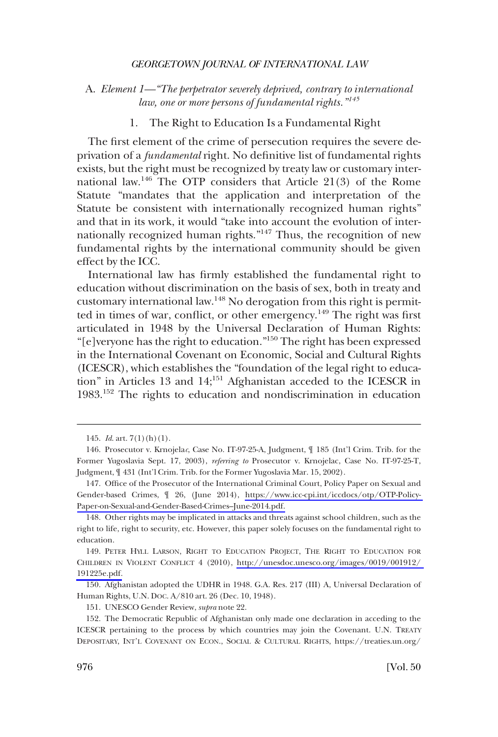<span id="page-29-0"></span>A. *Element 1—"The perpetrator severely deprived, contrary to international law, one or more persons of fundamental rights."<sup>145</sup>*

1. The Right to Education Is a Fundamental Right

The frst element of the crime of persecution requires the severe deprivation of a *fundamental* right. No defnitive list of fundamental rights exists, but the right must be recognized by treaty law or customary international law.<sup>146</sup> The OTP considers that Article  $21(3)$  of the Rome Statute "mandates that the application and interpretation of the Statute be consistent with internationally recognized human rights" and that in its work, it would "take into account the evolution of internationally recognized human rights."<sup>147</sup> Thus, the recognition of new fundamental rights by the international community should be given effect by the ICC.

International law has frmly established the fundamental right to education without discrimination on the basis of sex, both in treaty and customary international law.<sup>148</sup> No derogation from this right is permitted in times of war, conflict, or other emergency.<sup>149</sup> The right was first articulated in 1948 by the Universal Declaration of Human Rights: "[e]veryone has the right to education."150 The right has been expressed in the International Covenant on Economic, Social and Cultural Rights (ICESCR), which establishes the "foundation of the legal right to education" in Articles 13 and 14;<sup>151</sup> Afghanistan acceded to the ICESCR in 1983.152 The rights to education and nondiscrimination in education

150. Afghanistan adopted the UDHR in 1948. G.A. Res. 217 (III) A, Universal Declaration of Human Rights, U.N. DOC. A/810 art. 26 (Dec. 10, 1948).

151. UNESCO Gender Review, *supra* note 22.

<sup>145.</sup> *Id*. art. 7(1)(h)(1).

<sup>146.</sup> Prosecutor v. Krnojela*c*, Case No. IT-97-25-A, Judgment, ¶ 185 (Int'l Crim. Trib. for the Former Yugoslavia Sept. 17, 2003), *referring to* Prosecutor v. Krnojelac, Case No. IT-97-25-T, Judgment, ¶ 431 (Int'l Crim. Trib. for the Former Yugoslavia Mar. 15, 2002).

<sup>147.</sup> Office of the Prosecutor of the International Criminal Court, Policy Paper on Sexual and Gender-based Crimes, ¶ 26, (June 2014), [https://www.icc-cpi.int/iccdocs/otp/OTP-Policy-](https://www.icc-cpi.int/iccdocs/otp/OTP-Policy-Paper-on-Sexual-and-Gender-Based-Crimes--June-2014.pdf)[Paper-on-Sexual-and-Gender-Based-Crimes–June-2014.pdf.](https://www.icc-cpi.int/iccdocs/otp/OTP-Policy-Paper-on-Sexual-and-Gender-Based-Crimes--June-2014.pdf)

<sup>148.</sup> Other rights may be implicated in attacks and threats against school children, such as the right to life, right to security, etc. However, this paper solely focuses on the fundamental right to education.

<sup>149.</sup> PETER HYLL LARSON, RIGHT TO EDUCATION PROJECT, THE RIGHT TO EDUCATION FOR CHILDREN IN VIOLENT CONFLICT 4 (2010), [http://unesdoc.unesco.org/images/0019/001912/](http://unesdoc.unesco.org/images/0019/001912/191225e.pdf)  [191225e.pdf.](http://unesdoc.unesco.org/images/0019/001912/191225e.pdf)

<sup>152.</sup> The Democratic Republic of Afghanistan only made one declaration in acceding to the ICESCR pertaining to the process by which countries may join the Covenant. U.N. TREATY DEPOSITARY, INT'L COVENANT ON ECON., SOCIAL & CULTURAL RIGHTS, https://treaties.un.org/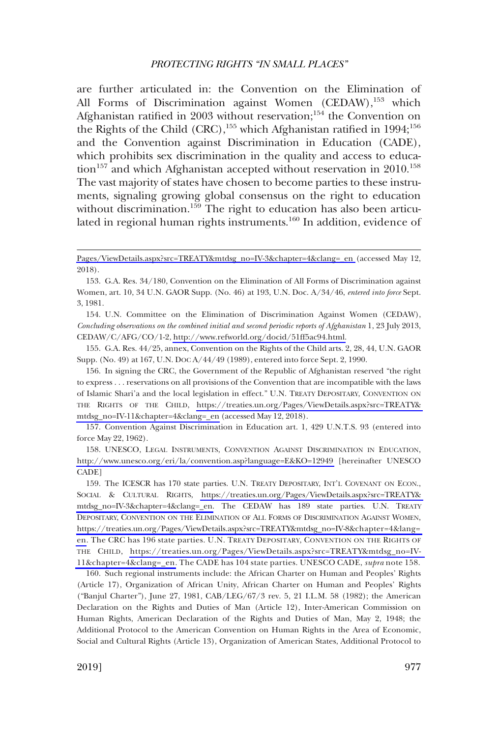are further articulated in: the Convention on the Elimination of All Forms of Discrimination against Women  $(CEDAW)$ ,<sup>153</sup> which Afghanistan ratified in 2003 without reservation;<sup>154</sup> the Convention on the Rights of the Child  $(CRC)$ ,<sup>155</sup> which Afghanistan ratified in 1994;<sup>156</sup> and the Convention against Discrimination in Education (CADE), which prohibits sex discrimination in the quality and access to education<sup>157</sup> and which Afghanistan accepted without reservation in  $2010$ <sup>158</sup> The vast majority of states have chosen to become parties to these instruments, signaling growing global consensus on the right to education without discrimination.<sup>159</sup> The right to education has also been articulated in regional human rights instruments.<sup>160</sup> In addition, evidence of

154. U.N. Committee on the Elimination of Discrimination Against Women (CEDAW), *Concluding observations on the combined initial and second periodic reports of Afghanistan* 1, 23 July 2013, CEDAW/C/AFG/CO/1-2, [http://www.refworld.org/docid/51ff5ac94.html.](http://www.refworld.org/docid/51ff5ac94.html)

155. G.A. Res. 44/25, annex, Convention on the Rights of the Child arts. 2, 28, 44, U.N. GAOR Supp. (No. 49) at 167, U.N. DOC A/44/49 (1989), entered into force Sept. 2, 1990.

156. In signing the CRC, the Government of the Republic of Afghanistan reserved "the right to express . . . reservations on all provisions of the Convention that are incompatible with the laws of Islamic Shari'a and the local legislation in effect." U.N. TREATY DEPOSITARY, CONVENTION ON THE RIGHTS OF THE CHILD, [https://treaties.un.org/Pages/ViewDetails.aspx?src=TREATY&](https://treaties.un.org/Pages/ViewDetails.aspx?src=TREATY&mtdsg_no=IV-11&chapter=4&clang=_en)  [mtdsg\\_no=IV-11&chapter=4&clang=\\_en](https://treaties.un.org/Pages/ViewDetails.aspx?src=TREATY&mtdsg_no=IV-11&chapter=4&clang=_en) (accessed May 12, 2018).

157. Convention Against Discrimination in Education art. 1, 429 U.N.T.S. 93 (entered into force May 22, 1962).

158. UNESCO, LEGAL INSTRUMENTS, CONVENTION AGAINST DISCRIMINATION IN EDUCATION, <http://www.unesco.org/eri/la/convention.asp?language=E&KO=12949>[hereinafter UNESCO CADE]

159. The ICESCR has 170 state parties. U.N. TREATY DEPOSITARY, INT'L COVENANT ON ECON., SOCIAL & CULTURAL RIGHTS, [https://treaties.un.org/Pages/ViewDetails.aspx?src=TREATY&](https://treaties.un.org/Pages/ViewDetails.aspx?src=TREATY&mtdsg_no=IV-3&chapter=4&clang=_en)  [mtdsg\\_no=IV-3&chapter=4&clang=\\_en.](https://treaties.un.org/Pages/ViewDetails.aspx?src=TREATY&mtdsg_no=IV-3&chapter=4&clang=_en) The CEDAW has 189 state parties. U.N. TREATY DEPOSITARY, CONVENTION ON THE ELIMINATION OF ALL FORMS OF DISCRIMINATION AGAINST WOMEN, [https://treaties.un.org/Pages/ViewDetails.aspx?src=TREATY&mtdsg\\_no=IV-8&chapter=4&lang=](https://treaties.un.org/Pages/ViewDetails.aspx?src=TREATY&mtdsg_no=IV-8&chapter=4&lang=en)  [en.](https://treaties.un.org/Pages/ViewDetails.aspx?src=TREATY&mtdsg_no=IV-8&chapter=4&lang=en) The CRC has 196 state parties. U.N. TREATY DEPOSITARY, CONVENTION ON THE RIGHTS OF THE CHILD, [https://treaties.un.org/Pages/ViewDetails.aspx?src=TREATY&mtdsg\\_no=IV-](https://treaties.un.org/Pages/ViewDetails.aspx?src=TREATY&mtdsg_no=IV-11&chapter=4&clang=_en)[11&chapter=4&clang=\\_en.](https://treaties.un.org/Pages/ViewDetails.aspx?src=TREATY&mtdsg_no=IV-11&chapter=4&clang=_en) The CADE has 104 state parties. UNESCO CADE, *supra* note 158.

160. Such regional instruments include: the African Charter on Human and Peoples' Rights (Article 17), Organization of African Unity, African Charter on Human and Peoples' Rights ("Banjul Charter"), June 27, 1981, CAB/LEG/67/3 rev. 5, 21 I.L.M. 58 (1982); the American Declaration on the Rights and Duties of Man (Article 12), Inter-American Commission on Human Rights, American Declaration of the Rights and Duties of Man, May 2, 1948; the Additional Protocol to the American Convention on Human Rights in the Area of Economic, Social and Cultural Rights (Article 13), Organization of American States, Additional Protocol to

[Pages/ViewDetails.aspx?src=TREATY&mtdsg\\_no=IV-3&chapter=4&clang=\\_en](https://treaties.un.org/Pages/ViewDetails.aspx?src=TREATY&mtdsg_no=IV-3&chapter=4&clang=_en) (accessed May 12, 2018).

<sup>153.</sup> G.A. Res. 34/180, Convention on the Elimination of All Forms of Discrimination against Women, art. 10, 34 U.N. GAOR Supp. (No. 46) at 193, U.N. Doc. A/34/46, *entered into force* Sept. 3, 1981.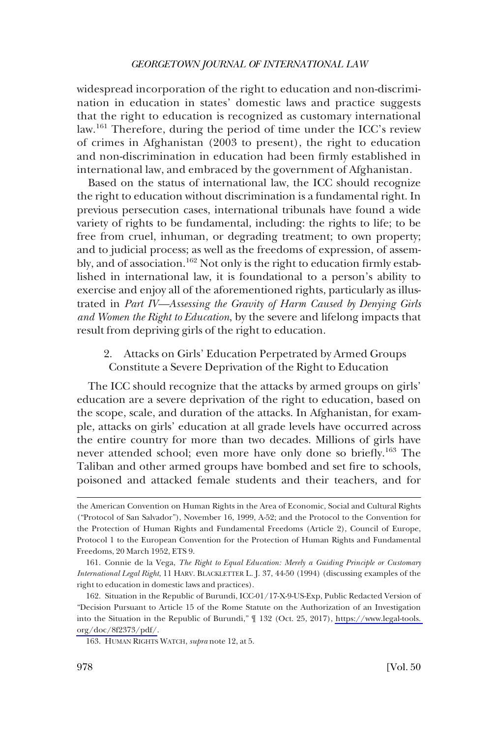<span id="page-31-0"></span>widespread incorporation of the right to education and non-discrimination in education in states' domestic laws and practice suggests that the right to education is recognized as customary international law.161 Therefore, during the period of time under the ICC's review of crimes in Afghanistan (2003 to present), the right to education and non-discrimination in education had been frmly established in international law, and embraced by the government of Afghanistan.

Based on the status of international law, the ICC should recognize the right to education without discrimination is a fundamental right. In previous persecution cases, international tribunals have found a wide variety of rights to be fundamental, including: the rights to life; to be free from cruel, inhuman, or degrading treatment; to own property; and to judicial process; as well as the freedoms of expression, of assembly, and of association.<sup>162</sup> Not only is the right to education firmly established in international law, it is foundational to a person's ability to exercise and enjoy all of the aforementioned rights, particularly as illustrated in *Part IV—Assessing the Gravity of Harm Caused by Denying Girls and Women the Right to Education*, by the severe and lifelong impacts that result from depriving girls of the right to education.

2. Attacks on Girls' Education Perpetrated by Armed Groups Constitute a Severe Deprivation of the Right to Education

The ICC should recognize that the attacks by armed groups on girls' education are a severe deprivation of the right to education, based on the scope, scale, and duration of the attacks. In Afghanistan, for example, attacks on girls' education at all grade levels have occurred across the entire country for more than two decades. Millions of girls have never attended school; even more have only done so briefy.163 The Taliban and other armed groups have bombed and set fre to schools, poisoned and attacked female students and their teachers, and for

the American Convention on Human Rights in the Area of Economic, Social and Cultural Rights ("Protocol of San Salvador"), November 16, 1999, A-52; and the Protocol to the Convention for the Protection of Human Rights and Fundamental Freedoms (Article 2), Council of Europe, Protocol 1 to the European Convention for the Protection of Human Rights and Fundamental Freedoms, 20 March 1952, ETS 9.

<sup>161.</sup> Connie de la Vega, *The Right to Equal Education: Merely a Guiding Principle or Customary International Legal Right*, 11 HARV. BLACKLETTER L. J. 37, 44-50 (1994) (discussing examples of the right to education in domestic laws and practices).

<sup>162.</sup> Situation in the Republic of Burundi, ICC-01/17-X-9-US-Exp, Public Redacted Version of "Decision Pursuant to Article 15 of the Rome Statute on the Authorization of an Investigation into the Situation in the Republic of Burundi," ¶ 132 (Oct. 25, 2017), [https://www.legal-tools.](https://www.legal-tools.org/doc/8f2373/pdf/)  [org/doc/8f2373/pdf/](https://www.legal-tools.org/doc/8f2373/pdf/).

<sup>163.</sup> HUMAN RIGHTS WATCH, *supra* note 12, at 5.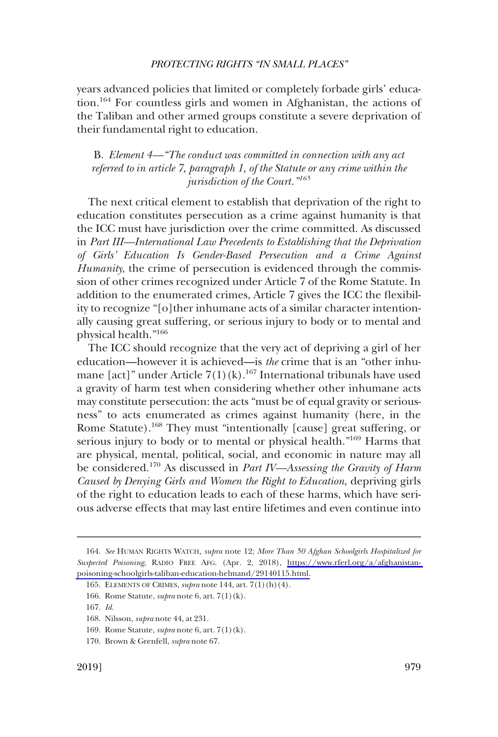<span id="page-32-0"></span>years advanced policies that limited or completely forbade girls' education.164 For countless girls and women in Afghanistan, the actions of the Taliban and other armed groups constitute a severe deprivation of their fundamental right to education.

## B. *Element 4—"The conduct was committed in connection with any act referred to in article 7, paragraph 1, of the Statute or any crime within the jurisdiction of the Court."<sup>165</sup>*

The next critical element to establish that deprivation of the right to education constitutes persecution as a crime against humanity is that the ICC must have jurisdiction over the crime committed. As discussed in *Part III—International Law Precedents to Establishing that the Deprivation of Girls' Education Is Gender-Based Persecution and a Crime Against Humanity*, the crime of persecution is evidenced through the commission of other crimes recognized under Article 7 of the Rome Statute. In addition to the enumerated crimes, Article 7 gives the ICC the fexibility to recognize "[o]ther inhumane acts of a similar character intentionally causing great suffering, or serious injury to body or to mental and physical health."166

The ICC should recognize that the very act of depriving a girl of her education—however it is achieved—is *the* crime that is an "other inhumane [act]" under Article  $7(1)(k)$ .<sup>167</sup> International tribunals have used a gravity of harm test when considering whether other inhumane acts may constitute persecution: the acts "must be of equal gravity or seriousness" to acts enumerated as crimes against humanity (here, in the Rome Statute).<sup>168</sup> They must "intentionally [cause] great suffering, or serious injury to body or to mental or physical health."<sup>169</sup> Harms that are physical, mental, political, social, and economic in nature may all be considered.170 As discussed in *Part IV—Assessing the Gravity of Harm Caused by Denying Girls and Women the Right to Education*, depriving girls of the right to education leads to each of these harms, which have serious adverse effects that may last entire lifetimes and even continue into

*See* HUMAN RIGHTS WATCH, *supra* note 12; *More Than 50 Afghan Schoolgirls Hospitalized for*  164. *Suspected Poisoning*, RADIO FREE AFG. (Apr. 2, 2018), [https://www.rferl.org/a/afghanistan](https://www.rferl.org/a/afghanistan-poisoning-schoolgirls-taliban-education-helmand/29140115.html)[poisoning-schoolgirls-taliban-education-helmand/29140115.html.](https://www.rferl.org/a/afghanistan-poisoning-schoolgirls-taliban-education-helmand/29140115.html)

<sup>165.</sup> ELEMENTS OF CRIMES, *supra* note 144, art. 7(1)(h)(4).

<sup>166.</sup> Rome Statute, *supra* note 6, art. 7(1)(k).

<sup>167.</sup> *Id*.

<sup>168.</sup> Nilsson, *supra* note 44, at 231.

<sup>169.</sup> Rome Statute, *supra* note 6, art. 7(1)(k).

<sup>170.</sup> Brown & Grenfell, *supra* note 67.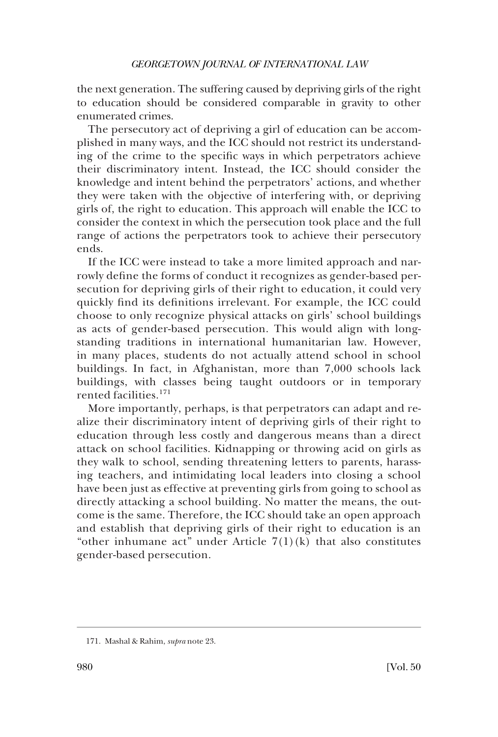the next generation. The suffering caused by depriving girls of the right to education should be considered comparable in gravity to other enumerated crimes.

The persecutory act of depriving a girl of education can be accomplished in many ways, and the ICC should not restrict its understanding of the crime to the specifc ways in which perpetrators achieve their discriminatory intent. Instead, the ICC should consider the knowledge and intent behind the perpetrators' actions, and whether they were taken with the objective of interfering with, or depriving girls of, the right to education. This approach will enable the ICC to consider the context in which the persecution took place and the full range of actions the perpetrators took to achieve their persecutory ends.

If the ICC were instead to take a more limited approach and narrowly defne the forms of conduct it recognizes as gender-based persecution for depriving girls of their right to education, it could very quickly fnd its defnitions irrelevant. For example, the ICC could choose to only recognize physical attacks on girls' school buildings as acts of gender-based persecution. This would align with longstanding traditions in international humanitarian law. However, in many places, students do not actually attend school in school buildings. In fact, in Afghanistan, more than 7,000 schools lack buildings, with classes being taught outdoors or in temporary rented facilities.<sup>171</sup>

More importantly, perhaps, is that perpetrators can adapt and realize their discriminatory intent of depriving girls of their right to education through less costly and dangerous means than a direct attack on school facilities. Kidnapping or throwing acid on girls as they walk to school, sending threatening letters to parents, harassing teachers, and intimidating local leaders into closing a school have been just as effective at preventing girls from going to school as directly attacking a school building. No matter the means, the outcome is the same. Therefore, the ICC should take an open approach and establish that depriving girls of their right to education is an "other inhumane act" under Article  $7(1)(k)$  that also constitutes gender-based persecution.

<sup>171.</sup> Mashal & Rahim, *supra* note 23.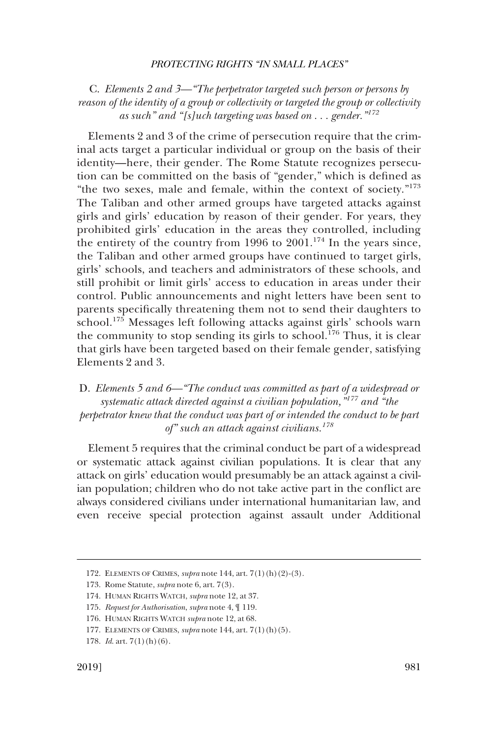<span id="page-34-0"></span>C. *Elements 2 and 3—"The perpetrator targeted such person or persons by reason of the identity of a group or collectivity or targeted the group or collectivity as such" and "[s]uch targeting was based on . . . gender."<sup>172</sup>*

Elements 2 and 3 of the crime of persecution require that the criminal acts target a particular individual or group on the basis of their identity—here, their gender. The Rome Statute recognizes persecution can be committed on the basis of "gender," which is defned as "the two sexes, male and female, within the context of society." $173$ The Taliban and other armed groups have targeted attacks against girls and girls' education by reason of their gender. For years, they prohibited girls' education in the areas they controlled, including the entirety of the country from 1996 to  $2001$ <sup>174</sup>. In the years since, the Taliban and other armed groups have continued to target girls, girls' schools, and teachers and administrators of these schools, and still prohibit or limit girls' access to education in areas under their control. Public announcements and night letters have been sent to parents specifcally threatening them not to send their daughters to school.175 Messages left following attacks against girls' schools warn the community to stop sending its girls to school.<sup>176</sup> Thus, it is clear that girls have been targeted based on their female gender, satisfying Elements 2 and 3.

D. *Elements 5 and 6—"The conduct was committed as part of a widespread or systematic attack directed against a civilian population,"177 and "the perpetrator knew that the conduct was part of or intended the conduct to be part of" such an attack against civilians.<sup>178</sup>*

Element 5 requires that the criminal conduct be part of a widespread or systematic attack against civilian populations. It is clear that any attack on girls' education would presumably be an attack against a civilian population; children who do not take active part in the confict are always considered civilians under international humanitarian law, and even receive special protection against assault under Additional

<sup>172.</sup> ELEMENTS OF CRIMES, *supra* note 144, art. 7(1)(h)(2)-(3).

<sup>173.</sup> Rome Statute, *supra* note 6, art. 7(3).

<sup>174.</sup> HUMAN RIGHTS WATCH, *supra* note 12, at 37.

<sup>175.</sup> *Request for Authorisation*, *supra* note 4, ¶ 119.

<sup>176.</sup> HUMAN RIGHTS WATCH *supra* note 12, at 68.

<sup>177.</sup> ELEMENTS OF CRIMES, *supra* note 144, art. 7(1)(h)(5).

<sup>178.</sup> *Id*. art. 7(1)(h)(6).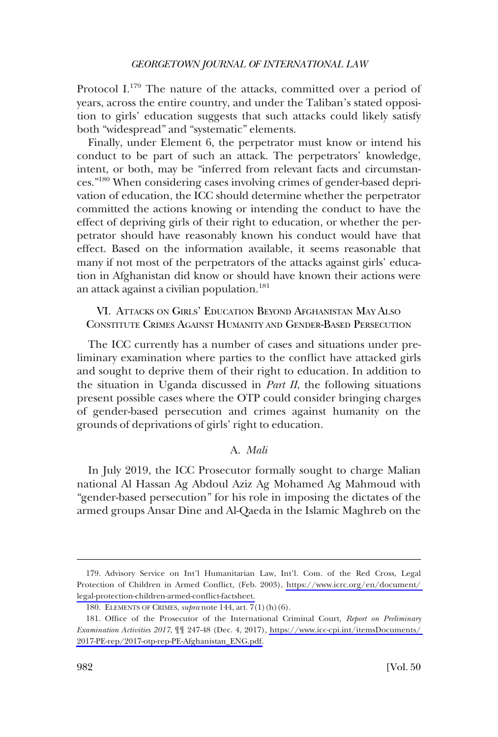<span id="page-35-0"></span>Protocol I.<sup>179</sup> The nature of the attacks, committed over a period of years, across the entire country, and under the Taliban's stated opposition to girls' education suggests that such attacks could likely satisfy both "widespread" and "systematic" elements.

Finally, under Element 6, the perpetrator must know or intend his conduct to be part of such an attack. The perpetrators' knowledge, intent, or both, may be "inferred from relevant facts and circumstances."180 When considering cases involving crimes of gender-based deprivation of education, the ICC should determine whether the perpetrator committed the actions knowing or intending the conduct to have the effect of depriving girls of their right to education, or whether the perpetrator should have reasonably known his conduct would have that effect. Based on the information available, it seems reasonable that many if not most of the perpetrators of the attacks against girls' education in Afghanistan did know or should have known their actions were an attack against a civilian population.<sup>181</sup>

## VI. ATTACKS ON GIRLS' EDUCATION BEYOND AFGHANISTAN MAY ALSO CONSTITUTE CRIMES AGAINST HUMANITY AND GENDER-BASED PERSECUTION

The ICC currently has a number of cases and situations under preliminary examination where parties to the confict have attacked girls and sought to deprive them of their right to education. In addition to the situation in Uganda discussed in *Part II*, the following situations present possible cases where the OTP could consider bringing charges of gender-based persecution and crimes against humanity on the grounds of deprivations of girls' right to education.

### A. *Mali*

In July 2019, the ICC Prosecutor formally sought to charge Malian national Al Hassan Ag Abdoul Aziz Ag Mohamed Ag Mahmoud with "gender-based persecution" for his role in imposing the dictates of the armed groups Ansar Dine and Al-Qaeda in the Islamic Maghreb on the

<sup>179.</sup> Advisory Service on Int'l Humanitarian Law, Int'l. Com. of the Red Cross, Legal Protection of Children in Armed Confict, (Feb. 2003), [https://www.icrc.org/en/document/](https://www.icrc.org/en/document/legal-protection-children-armed-conflict-factsheet)  [legal-protection-children-armed-confict-factsheet.](https://www.icrc.org/en/document/legal-protection-children-armed-conflict-factsheet)

<sup>180.</sup> ELEMENTS OF CRIMES, *supra* note 144, art. 7(1)(h)(6).

<sup>181.</sup> Office of the Prosecutor of the International Criminal Court, *Report on Preliminary Examination Activities 2017*, ¶¶ 247-48 (Dec. 4, 2017), [https://www.icc-cpi.int/itemsDocuments/](https://www.icc-cpi.int/itemsDocuments/2017-PE-rep/2017-otp-rep-PE-Afghanistan_ENG.pdf)  [2017-PE-rep/2017-otp-rep-PE-Afghanistan\\_ENG.pdf.](https://www.icc-cpi.int/itemsDocuments/2017-PE-rep/2017-otp-rep-PE-Afghanistan_ENG.pdf)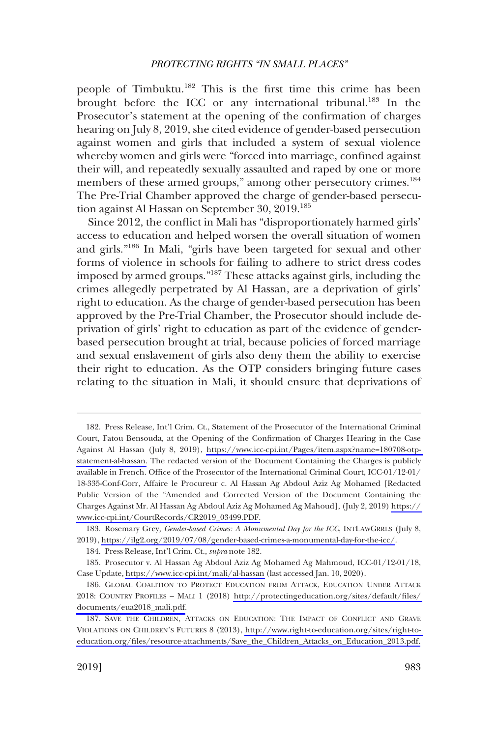people of Timbuktu.<sup>182</sup> This is the first time this crime has been brought before the ICC or any international tribunal.<sup>183</sup> In the Prosecutor's statement at the opening of the confrmation of charges hearing on July 8, 2019, she cited evidence of gender-based persecution against women and girls that included a system of sexual violence whereby women and girls were "forced into marriage, confned against their will, and repeatedly sexually assaulted and raped by one or more members of these armed groups," among other persecutory crimes.<sup>184</sup> The Pre-Trial Chamber approved the charge of gender-based persecution against Al Hassan on September 30, 2019.<sup>185</sup>

Since 2012, the confict in Mali has "disproportionately harmed girls' access to education and helped worsen the overall situation of women and girls."186 In Mali, "girls have been targeted for sexual and other forms of violence in schools for failing to adhere to strict dress codes imposed by armed groups."187 These attacks against girls, including the crimes allegedly perpetrated by Al Hassan, are a deprivation of girls' right to education. As the charge of gender-based persecution has been approved by the Pre-Trial Chamber, the Prosecutor should include deprivation of girls' right to education as part of the evidence of genderbased persecution brought at trial, because policies of forced marriage and sexual enslavement of girls also deny them the ability to exercise their right to education. As the OTP considers bringing future cases relating to the situation in Mali, it should ensure that deprivations of

<sup>182.</sup> Press Release, Int'l Crim. Ct., Statement of the Prosecutor of the International Criminal Court, Fatou Bensouda, at the Opening of the Confrmation of Charges Hearing in the Case Against Al Hassan (July 8, 2019), [https://www.icc-cpi.int/Pages/item.aspx?name=180708-otp](https://www.icc-cpi.int/Pages/item.aspx?name=180708-otp-statement-al-hassan)[statement-al-hassan.](https://www.icc-cpi.int/Pages/item.aspx?name=180708-otp-statement-al-hassan) The redacted version of the Document Containing the Charges is publicly available in French. Office of the Prosecutor of the International Criminal Court, ICC-01/12-01/ 18-335-Conf-Corr, Affaire le Procureur c. Al Hassan Ag Abdoul Aziz Ag Mohamed [Redacted Public Version of the "Amended and Corrected Version of the Document Containing the Charges Against Mr. Al Hassan Ag Abdoul Aziz Ag Mohamed Ag Mahoud], (July 2, 2019) [https://](https://www.icc-cpi.int/CourtRecords/CR2019_03499.PDF)  [www.icc-cpi.int/CourtRecords/CR2019\\_03499.PDF.](https://www.icc-cpi.int/CourtRecords/CR2019_03499.PDF)

<sup>183.</sup> Rosemary Grey, Gender-based Crimes: A Monumental Day for the ICC, INTLAWGRRLS (July 8, 2019), [https://ilg2.org/2019/07/08/gender-based-crimes-a-monumental-day-for-the-icc/.](https://ilg2.org/2019/07/08/gender-based-crimes-a-monumental-day-for-the-icc/)

<sup>184.</sup> Press Release, Int'l Crim. Ct., *supra* note 182.

<sup>185.</sup> Prosecutor v. Al Hassan Ag Abdoul Aziz Ag Mohamed Ag Mahmoud, ICC-01/12-01/18, Case Update,<https://www.icc-cpi.int/mali/al-hassan>(last accessed Jan. 10, 2020).

<sup>186.</sup> GLOBAL COALITION TO PROTECT EDUCATION FROM ATTACK, EDUCATION UNDER ATTACK 2018: COUNTRY PROFILES – MALI 1 (2018) [http://protectingeducation.org/sites/default/fles/](http://protectingeducation.org/sites/default/files/documents/eua2018_mali.pdf)  [documents/eua2018\\_mali.pdf.](http://protectingeducation.org/sites/default/files/documents/eua2018_mali.pdf)

<sup>187.</sup> SAVE THE CHILDREN, ATTACKS ON EDUCATION: THE IMPACT OF CONFLICT AND GRAVE VIOLATIONS ON CHILDREN'S FUTURES 8 (2013), [http://www.right-to-education.org/sites/right-to](http://www.right-to-education.org/sites/right-to-education.org/files/resource-attachments/Save_the_Children_Attacks_on_Education_2013.pdf)[education.org/fles/resource-attachments/Save\\_the\\_Children\\_Attacks\\_on\\_Education\\_2013.pdf.](http://www.right-to-education.org/sites/right-to-education.org/files/resource-attachments/Save_the_Children_Attacks_on_Education_2013.pdf)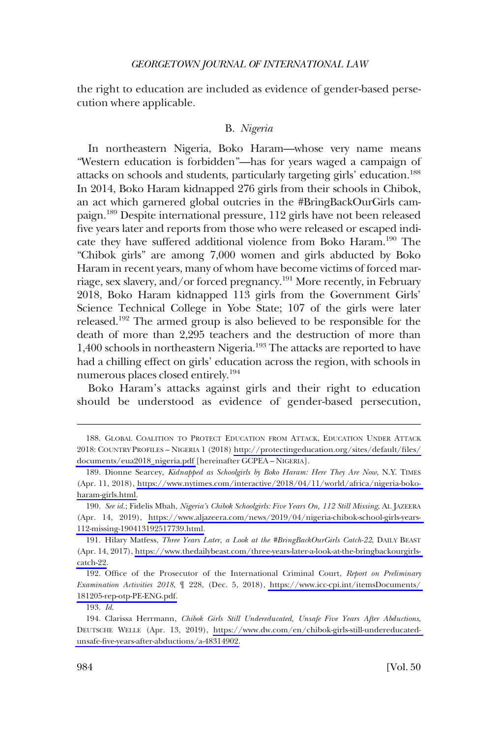<span id="page-37-0"></span>the right to education are included as evidence of gender-based persecution where applicable.

### B. *Nigeria*

In northeastern Nigeria, Boko Haram—whose very name means "Western education is forbidden"—has for years waged a campaign of attacks on schools and students, particularly targeting girls' education.<sup>188</sup> In 2014, Boko Haram kidnapped 276 girls from their schools in Chibok, an act which garnered global outcries in the #BringBackOurGirls campaign.189 Despite international pressure, 112 girls have not been released fve years later and reports from those who were released or escaped indicate they have suffered additional violence from Boko Haram.<sup>190</sup> The "Chibok girls" are among 7,000 women and girls abducted by Boko Haram in recent years, many of whom have become victims of forced marriage, sex slavery, and/or forced pregnancy.191 More recently, in February 2018, Boko Haram kidnapped 113 girls from the Government Girls' Science Technical College in Yobe State; 107 of the girls were later released.192 The armed group is also believed to be responsible for the death of more than 2,295 teachers and the destruction of more than 1,400 schools in northeastern Nigeria.193 The attacks are reported to have had a chilling effect on girls' education across the region, with schools in numerous places closed entirely.194

Boko Haram's attacks against girls and their right to education should be understood as evidence of gender-based persecution,

193. *Id*.

<sup>188.</sup> GLOBAL COALITION TO PROTECT EDUCATION FROM ATTACK, EDUCATION UNDER ATTACK 2018: COUNTRY PROFILES – NIGERIA 1 (2018) [http://protectingeducation.org/sites/default/fles/](http://protectingeducation.org/sites/default/files/documents/eua2018_nigeria.pdf) [documents/eua2018\\_nigeria.pdf](http://protectingeducation.org/sites/default/files/documents/eua2018_nigeria.pdf) [hereinafter GCPEA – NIGERIA].

<sup>189.</sup> Dionne Searcey, *Kidnapped as Schoolgirls by Boko Haram: Here They Are Now, N.Y. TIMES* (Apr. 11, 2018), [https://www.nytimes.com/interactive/2018/04/11/world/africa/nigeria-boko](https://www.nytimes.com/interactive/2018/04/11/world/africa/nigeria-boko-haram-girls.html)[haram-girls.html.](https://www.nytimes.com/interactive/2018/04/11/world/africa/nigeria-boko-haram-girls.html)

*See id*.; Fidelis Mbah, *Nigeria's Chibok Schoolgirls: Five Years On, 112 Still Missing*, AL JAZEERA 190. (Apr. 14, 2019), [https://www.aljazeera.com/news/2019/04/nigeria-chibok-school-girls-years-](https://www.aljazeera.com/news/2019/04/nigeria-chibok-school-girls-years-112-missing-190413192517739.html)[112-missing-190413192517739.html.](https://www.aljazeera.com/news/2019/04/nigeria-chibok-school-girls-years-112-missing-190413192517739.html)

<sup>191.</sup> Hilary Matfess, *Three Years Later, a Look at the #BringBackOurGirls Catch-22*, DAILY BEAST (Apr. 14, 2017), [https://www.thedailybeast.com/three-years-later-a-look-at-the-bringbackourgirls](https://www.thedailybeast.com/three-years-later-a-look-at-the-bringbackourgirls-catch-22)[catch-22.](https://www.thedailybeast.com/three-years-later-a-look-at-the-bringbackourgirls-catch-22)

<sup>192.</sup> Office of the Prosecutor of the International Criminal Court, *Report on Preliminary Examination Activities 2018*, ¶ 228, (Dec. 5, 2018), [https://www.icc-cpi.int/itemsDocuments/](https://www.icc-cpi.int/itemsDocuments/181205-rep-otp-PE-ENG.pdf)  [181205-rep-otp-PE-ENG.pdf.](https://www.icc-cpi.int/itemsDocuments/181205-rep-otp-PE-ENG.pdf)

Clarissa Herrmann, *Chibok Girls Still Undereducated, Unsafe Five Years After Abductions*, 194. DEUTSCHE WELLE (Apr. 13, 2019), [https://www.dw.com/en/chibok-girls-still-undereducated](https://www.dw.com/en/chibok-girls-still-undereducated-unsafe-five-years-after-abductions/a-48314902)[unsafe-fve-years-after-abductions/a-48314902.](https://www.dw.com/en/chibok-girls-still-undereducated-unsafe-five-years-after-abductions/a-48314902)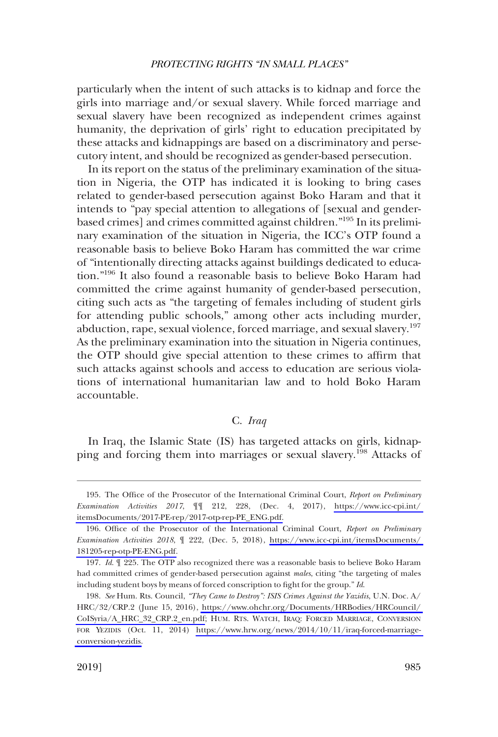<span id="page-38-0"></span>particularly when the intent of such attacks is to kidnap and force the girls into marriage and/or sexual slavery. While forced marriage and sexual slavery have been recognized as independent crimes against humanity, the deprivation of girls' right to education precipitated by these attacks and kidnappings are based on a discriminatory and persecutory intent, and should be recognized as gender-based persecution.

In its report on the status of the preliminary examination of the situation in Nigeria, the OTP has indicated it is looking to bring cases related to gender-based persecution against Boko Haram and that it intends to "pay special attention to allegations of [sexual and genderbased crimes] and crimes committed against children."195 In its preliminary examination of the situation in Nigeria, the ICC's OTP found a reasonable basis to believe Boko Haram has committed the war crime of "intentionally directing attacks against buildings dedicated to education."196 It also found a reasonable basis to believe Boko Haram had committed the crime against humanity of gender-based persecution, citing such acts as "the targeting of females including of student girls for attending public schools," among other acts including murder, abduction, rape, sexual violence, forced marriage, and sexual slavery.<sup>197</sup> As the preliminary examination into the situation in Nigeria continues, the OTP should give special attention to these crimes to affrm that such attacks against schools and access to education are serious violations of international humanitarian law and to hold Boko Haram accountable.

## C. *Iraq*

In Iraq, the Islamic State (IS) has targeted attacks on girls, kidnapping and forcing them into marriages or sexual slavery.<sup>198</sup> Attacks of

<sup>195.</sup> The Office of the Prosecutor of the International Criminal Court, *Report on Preliminary Examination Activities 2017*, ¶¶ 212, 228, (Dec. 4, 2017), [https://www.icc-cpi.int/](https://www.icc-cpi.int/itemsDocuments/2017-PE-rep/2017-otp-rep-PE_ENG.pdf)  [itemsDocuments/2017-PE-rep/2017-otp-rep-PE\\_ENG.pdf.](https://www.icc-cpi.int/itemsDocuments/2017-PE-rep/2017-otp-rep-PE_ENG.pdf)

<sup>196.</sup> Office of the Prosecutor of the International Criminal Court, *Report on Preliminary Examination Activities 2018*, ¶ 222, (Dec. 5, 2018), [https://www.icc-cpi.int/itemsDocuments/](https://www.icc-cpi.int/itemsDocuments/181205-rep-otp-PE-ENG.pdf)  [181205-rep-otp-PE-ENG.pdf.](https://www.icc-cpi.int/itemsDocuments/181205-rep-otp-PE-ENG.pdf)

<sup>197.</sup> *Id*. ¶ 225. The OTP also recognized there was a reasonable basis to believe Boko Haram had committed crimes of gender-based persecution against *males*, citing "the targeting of males including student boys by means of forced conscription to fght for the group." *Id*.

*See* Hum. Rts. Council, *"They Came to Destroy": ISIS Crimes Against the Yazidis*, U.N. Doc. A/ 198. HRC/32/CRP.2 (June 15, 2016), [https://www.ohchr.org/Documents/HRBodies/HRCouncil/](https://www.ohchr.org/Documents/HRBodies/HRCouncil/CoISyria/A_HRC_32_CRP.2_en.pdf)  [CoISyria/A\\_HRC\\_32\\_CRP.2\\_en.pdf](https://www.ohchr.org/Documents/HRBodies/HRCouncil/CoISyria/A_HRC_32_CRP.2_en.pdf); HUM. RTS. WATCH, IRAQ: FORCED MARRIAGE, CONVERSION FOR YEZIDIS (Oct. 11, 2014) [https://www.hrw.org/news/2014/10/11/iraq-forced-marriage](https://www.hrw.org/news/2014/10/11/iraq-forced-marriage-conversion-yezidis)[conversion-yezidis.](https://www.hrw.org/news/2014/10/11/iraq-forced-marriage-conversion-yezidis)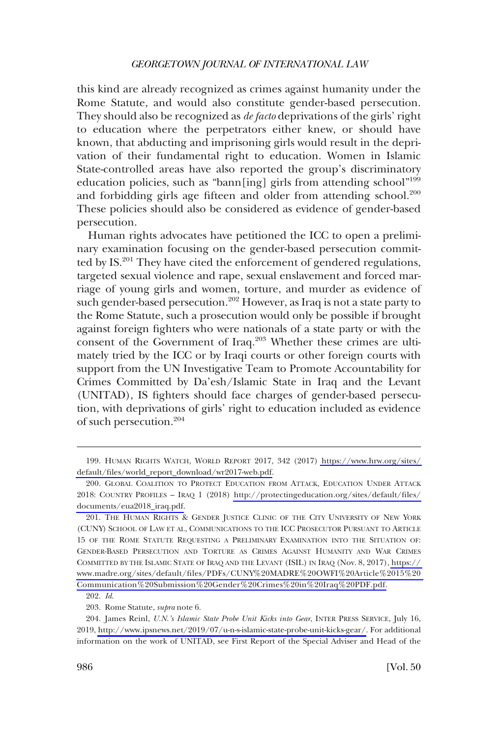this kind are already recognized as crimes against humanity under the Rome Statute, and would also constitute gender-based persecution. They should also be recognized as *de facto* deprivations of the girls' right to education where the perpetrators either knew, or should have known, that abducting and imprisoning girls would result in the deprivation of their fundamental right to education. Women in Islamic State-controlled areas have also reported the group's discriminatory education policies, such as "bann[ing] girls from attending school"<sup>199</sup> and forbidding girls age fifteen and older from attending school.<sup>200</sup> These policies should also be considered as evidence of gender-based persecution.

Human rights advocates have petitioned the ICC to open a preliminary examination focusing on the gender-based persecution committed by IS.<sup>201</sup> They have cited the enforcement of gendered regulations, targeted sexual violence and rape, sexual enslavement and forced marriage of young girls and women, torture, and murder as evidence of such gender-based persecution.<sup>202</sup> However, as Iraq is not a state party to the Rome Statute, such a prosecution would only be possible if brought against foreign fghters who were nationals of a state party or with the consent of the Government of Iraq.<sup>203</sup> Whether these crimes are ultimately tried by the ICC or by Iraqi courts or other foreign courts with support from the UN Investigative Team to Promote Accountability for Crimes Committed by Da'esh/Islamic State in Iraq and the Levant (UNITAD), IS fghters should face charges of gender-based persecution, with deprivations of girls' right to education included as evidence of such persecution.204

HUMAN RIGHTS WATCH, WORLD REPORT 2017, 342 (2017) [https://www.hrw.org/sites/](https://www.hrw.org/sites/default/files/world_report_download/wr2017-web.pdf)  199. [default/fles/world\\_report\\_download/wr2017-web.pdf.](https://www.hrw.org/sites/default/files/world_report_download/wr2017-web.pdf)

<sup>200.</sup> GLOBAL COALITION TO PROTECT EDUCATION FROM ATTACK, EDUCATION UNDER ATTACK 2018: COUNTRY PROFILES – IRAQ 1 (2018) [http://protectingeducation.org/sites/default/fles/](http://protectingeducation.org/sites/default/files/documents/eua2018_iraq.pdf) [documents/eua2018\\_iraq.pdf.](http://protectingeducation.org/sites/default/files/documents/eua2018_iraq.pdf)

<sup>201.</sup> THE HUMAN RIGHTS & GENDER JUSTICE CLINIC OF THE CITY UNIVERSITY OF NEW YORK (CUNY) SCHOOL OF LAW ET AL, COMMUNICATIONS TO THE ICC PROSECUTOR PURSUANT TO ARTICLE 15 OF THE ROME STATUTE REQUESTING A PRELIMINARY EXAMINATION INTO THE SITUATION OF: GENDER-BASED PERSECUTION AND TORTURE AS CRIMES AGAINST HUMANITY AND WAR CRIMES COMMITTED BY THE ISLAMIC STATE OF IRAQ AND THE LEVANT (ISIL) IN IRAQ (Nov. 8, 2017), [https://](https://www.madre.org/sites/default/files/PDFs/CUNY%20MADRE%20OWFI%20Article%2015%20Communication%20Submission%20Gender%20Crimes%20in%20Iraq%20PDF.pdf)  [www.madre.org/sites/default/fles/PDFs/CUNY%20MADRE%20OWFI%20Article%2015%20](https://www.madre.org/sites/default/files/PDFs/CUNY%20MADRE%20OWFI%20Article%2015%20Communication%20Submission%20Gender%20Crimes%20in%20Iraq%20PDF.pdf)  [Communication%20Submission%20Gender%20Crimes%20in%20Iraq%20PDF.pdf.](https://www.madre.org/sites/default/files/PDFs/CUNY%20MADRE%20OWFI%20Article%2015%20Communication%20Submission%20Gender%20Crimes%20in%20Iraq%20PDF.pdf)

<sup>202.</sup> *Id*.

<sup>203.</sup> Rome Statute, *supra* note 6.

<sup>204.</sup> James Reinl, *U.N.'s Islamic State Probe Unit Kicks into Gear*, INTER PRESS SERVICE, July 16, 2019,<http://www.ipsnews.net/2019/07/u-n-s-islamic-state-probe-unit-kicks-gear/>. For additional information on the work of UNITAD, see First Report of the Special Adviser and Head of the